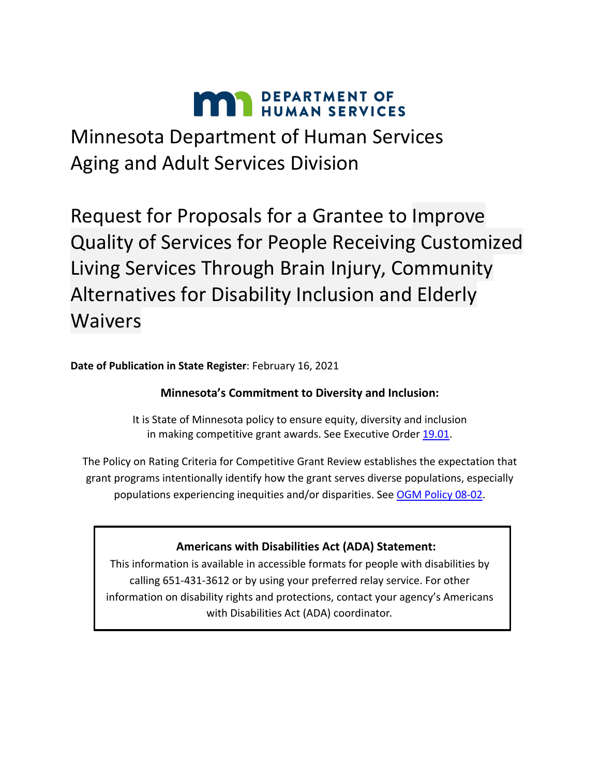# **MAY DEPARTMENT OF HUMAN SERVICES**

Minnesota Department of Human Services Aging and Adult Services Division

Request for Proposals for a Grantee to Improve Quality of Services for People Receiving Customized Living Services Through Brain Injury, Community Alternatives for Disability Inclusion and Elderly Waivers

**Date of Publication in State Register**: February 16, 2021

# **Minnesota's Commitment to Diversity and Inclusion:**

It is State of Minnesota policy to ensure equity, diversity and inclusion in making competitive grant awards. See Executive Order [19.01.](https://mn.gov/governor/assets/2019_01_09_EO-19-01_%28FINAL%29_tcm1055-364605.pdf)

The Policy on Rating Criteria for Competitive Grant Review establishes the expectation that grant programs intentionally identify how the grant serves diverse populations, especially populations experiencing inequities and/or disparities. See [OGM Policy 08-02.](https://mn.gov/admin/assets/08-02%20grants%20policy%20revision%20September%202017%20final_tcm36-312046.pdf)

# **Americans with Disabilities Act (ADA) Statement:**

This information is available in accessible formats for people with disabilities by calling 651-431-3612 or by using your preferred relay service. For other information on disability rights and protections, contact your agency's Americans with Disabilities Act (ADA) coordinator.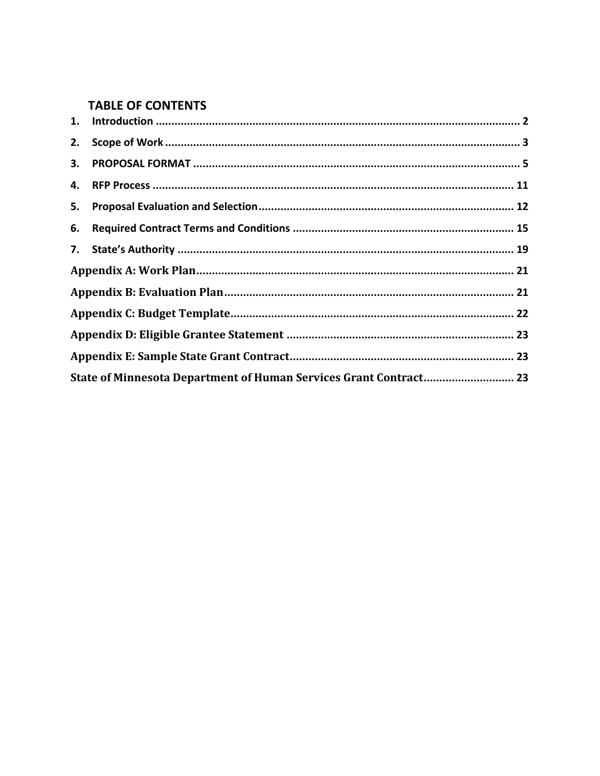# **TABLE OF CONTENTS**

| 2. |                                                                   |  |
|----|-------------------------------------------------------------------|--|
|    |                                                                   |  |
|    |                                                                   |  |
|    |                                                                   |  |
| 6. |                                                                   |  |
|    |                                                                   |  |
|    |                                                                   |  |
|    |                                                                   |  |
|    |                                                                   |  |
|    |                                                                   |  |
|    |                                                                   |  |
|    | State of Minnesota Department of Human Services Grant Contract 23 |  |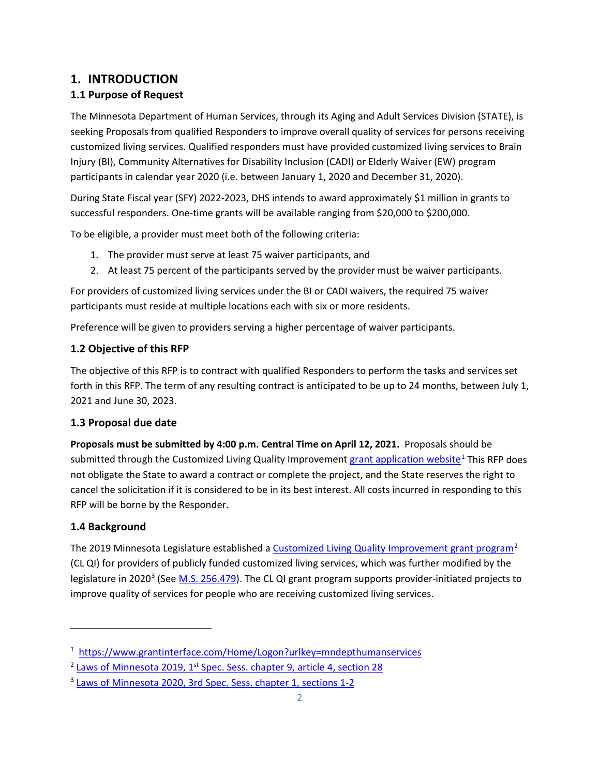# <span id="page-2-0"></span>**1. INTRODUCTION**

# **1.1 Purpose of Request**

The Minnesota Department of Human Services, through its Aging and Adult Services Division (STATE), is seeking Proposals from qualified Responders to improve overall quality of services for persons receiving customized living services. Qualified responders must have provided customized living services to Brain Injury (BI), Community Alternatives for Disability Inclusion (CADI) or Elderly Waiver (EW) program participants in calendar year 2020 (i.e. between January 1, 2020 and December 31, 2020).

During State Fiscal year (SFY) 2022-2023, DHS intends to award approximately \$1 million in grants to successful responders. One-time grants will be available ranging from \$20,000 to \$200,000.

To be eligible, a provider must meet both of the following criteria:

- 1. The provider must serve at least 75 waiver participants, and
- 2. At least 75 percent of the participants served by the provider must be waiver participants.

For providers of customized living services under the BI or CADI waivers, the required 75 waiver participants must reside at multiple locations each with six or more residents.

Preference will be given to providers serving a higher percentage of waiver participants.

### **1.2 Objective of this RFP**

The objective of this RFP is to contract with qualified Responders to perform the tasks and services set forth in this RFP. The term of any resulting contract is anticipated to be up to 24 months, between July 1, 2021 and June 30, 2023.

### **1.3 Proposal due date**

**Proposals must be submitted by 4:00 p.m. Central Time on April 12, 2021.** Proposals should be submitted through the Customized Living Quality Improvement [grant application website](https://www.grantinterface.com/Home/Logon?urlkey=mndepthumanservices)<sup>[1](#page-2-1)</sup> This RFP does not obligate the State to award a contract or complete the project, and the State reserves the right to cancel the solicitation if it is considered to be in its best interest. All costs incurred in responding to this RFP will be borne by the Responder.

### **1.4 Background**

 $\overline{\phantom{a}}$ 

The 2019 Minnesota Legislature established [a Customized Living Quality Improvement grant program](https://www.revisor.mn.gov/laws/2019/1/Session+Law/Chapter/9/)<sup>[2](#page-2-2)</sup> (CL QI) for providers of publicly funded customized living services, which was further modified by the legislature in 2020<sup>[3](#page-2-3)</sup> (See [M.S. 256.479\)](https://www.revisor.mn.gov/statutes/cite/256.479). The CL QI grant program supports provider-initiated projects to improve quality of services for people who are receiving customized living services.

<span id="page-2-1"></span><sup>&</sup>lt;sup>1</sup><https://www.grantinterface.com/Home/Logon?urlkey=mndepthumanservices>

<span id="page-2-2"></span><sup>&</sup>lt;sup>2</sup> Laws of Minnesota 2019, 1<sup>st</sup> [Spec. Sess. chapter 9, article 4, section 28](https://www.revisor.mn.gov/laws/2019/1/Session+Law/Chapter/9/)

<span id="page-2-3"></span><sup>&</sup>lt;sup>3</sup> [Laws of Minnesota 2020, 3rd Spec. Sess. chapter 1, sections 1-2](https://www.revisor.mn.gov/laws/2020/3/Session+Law/Chapter/1/)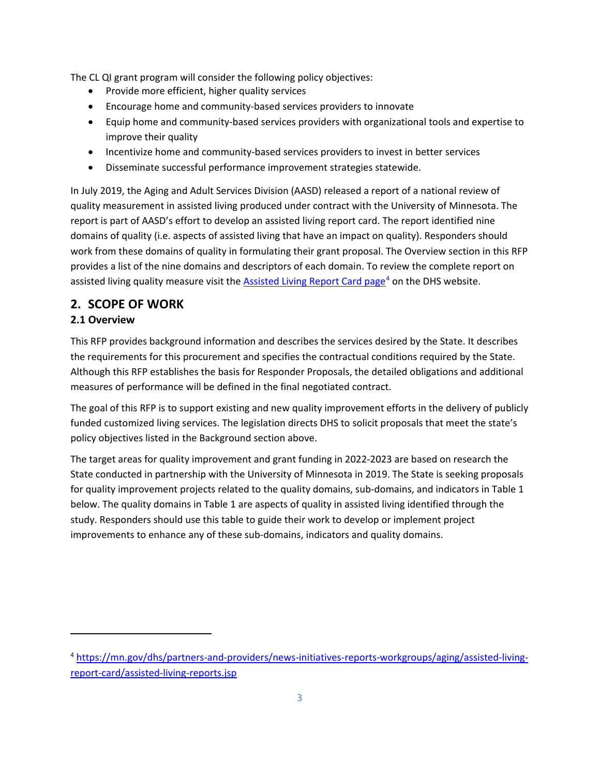The CL QI grant program will consider the following policy objectives:

- Provide more efficient, higher quality services
- Encourage home and community-based services providers to innovate
- Equip home and community-based services providers with organizational tools and expertise to improve their quality
- Incentivize home and community-based services providers to invest in better services
- Disseminate successful performance improvement strategies statewide.

In July 2019, the Aging and Adult Services Division (AASD) released a report of a national review of quality measurement in assisted living produced under contract with the University of Minnesota. The report is part of AASD's effort to develop an assisted living report card. The report identified nine domains of quality (i.e. aspects of assisted living that have an impact on quality). Responders should work from these domains of quality in formulating their grant proposal. The Overview section in this RFP provides a list of the nine domains and descriptors of each domain. To review the complete report on assisted living quality measure visit the [Assisted Living Report Card page](https://mn.gov/dhs/partners-and-providers/news-initiatives-reports-workgroups/aging/assisted-living-report-card/assisted-living-reports.jsp)<sup>[4](#page-3-1)</sup> on the DHS website.

# <span id="page-3-0"></span>**2. SCOPE OF WORK**

### **2.1 Overview**

l

This RFP provides background information and describes the services desired by the State. It describes the requirements for this procurement and specifies the contractual conditions required by the State. Although this RFP establishes the basis for Responder Proposals, the detailed obligations and additional measures of performance will be defined in the final negotiated contract.

The goal of this RFP is to support existing and new quality improvement efforts in the delivery of publicly funded customized living services. The legislation directs DHS to solicit proposals that meet the state's policy objectives listed in the Background section above.

The target areas for quality improvement and grant funding in 2022-2023 are based on research the State conducted in partnership with the University of Minnesota in 2019. The State is seeking proposals for quality improvement projects related to the quality domains, sub-domains, and indicators in Table 1 below. The quality domains in Table 1 are aspects of quality in assisted living identified through the study. Responders should use this table to guide their work to develop or implement project improvements to enhance any of these sub-domains, indicators and quality domains.

<span id="page-3-1"></span><sup>4</sup> [https://mn.gov/dhs/partners-and-providers/news-initiatives-reports-workgroups/aging/assisted-living](https://mn.gov/dhs/partners-and-providers/news-initiatives-reports-workgroups/aging/assisted-living-report-card/assisted-living-reports.jsp)[report-card/assisted-living-reports.jsp](https://mn.gov/dhs/partners-and-providers/news-initiatives-reports-workgroups/aging/assisted-living-report-card/assisted-living-reports.jsp)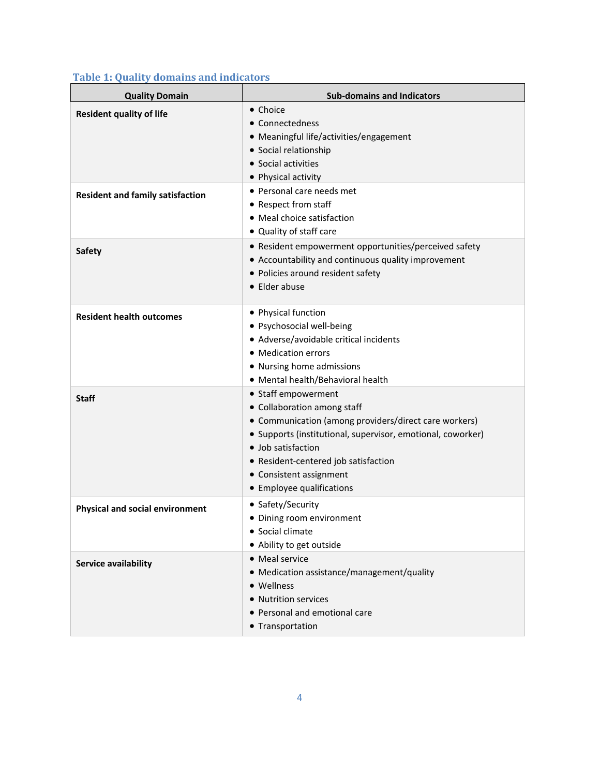| <b>Quality Domain</b>                   | <b>Sub-domains and Indicators</b>                                                                                                                                                                                                                                                                |
|-----------------------------------------|--------------------------------------------------------------------------------------------------------------------------------------------------------------------------------------------------------------------------------------------------------------------------------------------------|
| <b>Resident quality of life</b>         | • Choice<br>• Connectedness<br>• Meaningful life/activities/engagement<br>• Social relationship<br>• Social activities<br>• Physical activity                                                                                                                                                    |
| <b>Resident and family satisfaction</b> | • Personal care needs met<br>• Respect from staff<br>• Meal choice satisfaction<br>• Quality of staff care                                                                                                                                                                                       |
| <b>Safety</b>                           | • Resident empowerment opportunities/perceived safety<br>• Accountability and continuous quality improvement<br>• Policies around resident safety<br>• Elder abuse                                                                                                                               |
| <b>Resident health outcomes</b>         | • Physical function<br>· Psychosocial well-being<br>• Adverse/avoidable critical incidents<br>• Medication errors<br>• Nursing home admissions<br>• Mental health/Behavioral health                                                                                                              |
| <b>Staff</b>                            | • Staff empowerment<br>• Collaboration among staff<br>• Communication (among providers/direct care workers)<br>• Supports (institutional, supervisor, emotional, coworker)<br>• Job satisfaction<br>• Resident-centered job satisfaction<br>• Consistent assignment<br>• Employee qualifications |
| <b>Physical and social environment</b>  | • Safety/Security<br>• Dining room environment<br>• Social climate<br>• Ability to get outside                                                                                                                                                                                                   |
| Service availability                    | • Meal service<br>• Medication assistance/management/quality<br>• Wellness<br>• Nutrition services<br>• Personal and emotional care<br>• Transportation                                                                                                                                          |

### **Table 1: Quality domains and indicators**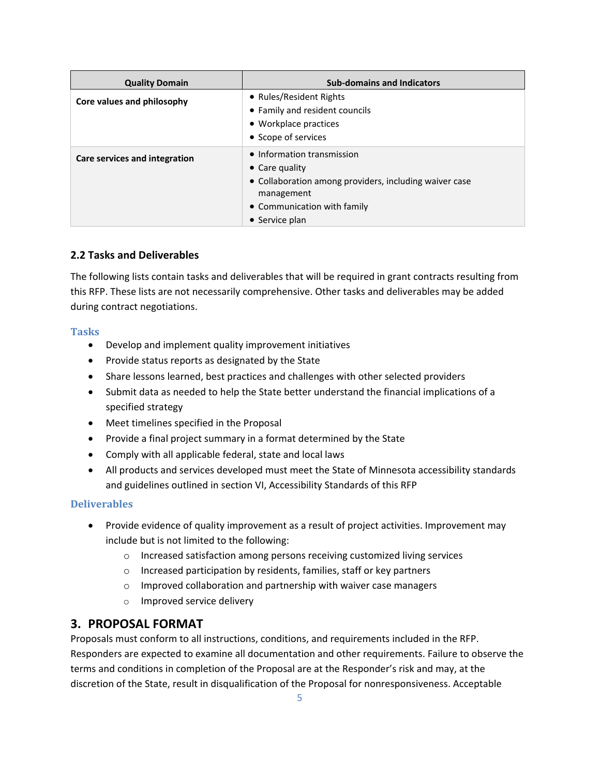| <b>Quality Domain</b>         | <b>Sub-domains and Indicators</b>                                    |
|-------------------------------|----------------------------------------------------------------------|
| Core values and philosophy    | • Rules/Resident Rights<br>• Family and resident councils            |
|                               | • Workplace practices                                                |
|                               | • Scope of services                                                  |
| Care services and integration | • Information transmission<br>$\bullet$ Care quality                 |
|                               | • Collaboration among providers, including waiver case<br>management |
|                               | • Communication with family                                          |
|                               | $\bullet$ Service plan                                               |

### **2.2 Tasks and Deliverables**

The following lists contain tasks and deliverables that will be required in grant contracts resulting from this RFP. These lists are not necessarily comprehensive. Other tasks and deliverables may be added during contract negotiations.

### **Tasks**

- Develop and implement quality improvement initiatives
- Provide status reports as designated by the State
- Share lessons learned, best practices and challenges with other selected providers
- Submit data as needed to help the State better understand the financial implications of a specified strategy
- Meet timelines specified in the Proposal
- Provide a final project summary in a format determined by the State
- Comply with all applicable federal, state and local laws
- All products and services developed must meet the State of Minnesota accessibility standards and guidelines outlined in section VI, Accessibility Standards of this RFP

### **Deliverables**

- Provide evidence of quality improvement as a result of project activities. Improvement may include but is not limited to the following:
	- o Increased satisfaction among persons receiving customized living services
	- o Increased participation by residents, families, staff or key partners
	- o Improved collaboration and partnership with waiver case managers
	- o Improved service delivery

# <span id="page-5-0"></span>**3. PROPOSAL FORMAT**

Proposals must conform to all instructions, conditions, and requirements included in the RFP. Responders are expected to examine all documentation and other requirements. Failure to observe the terms and conditions in completion of the Proposal are at the Responder's risk and may, at the discretion of the State, result in disqualification of the Proposal for nonresponsiveness. Acceptable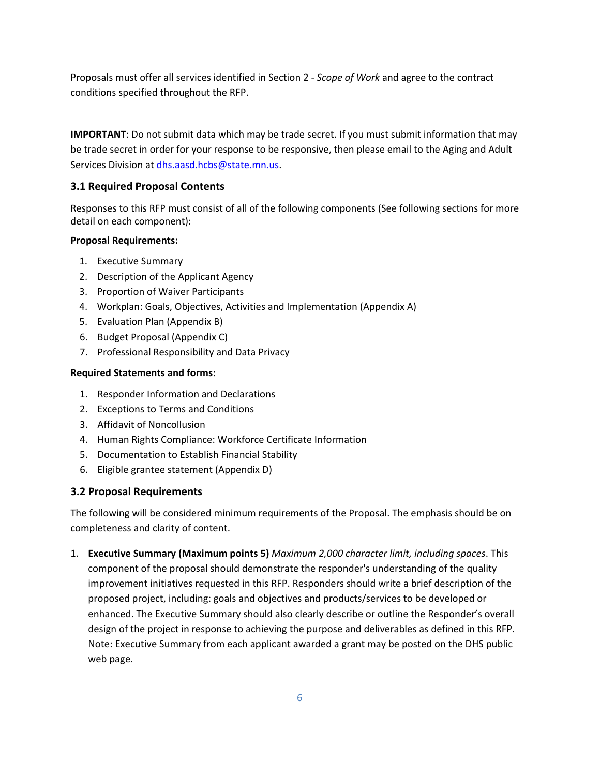Proposals must offer all services identified in Section 2 - *Scope of Work* and agree to the contract conditions specified throughout the RFP.

**IMPORTANT**: Do not submit data which may be trade secret. If you must submit information that may be trade secret in order for your response to be responsive, then please email to the Aging and Adult Services Division at [dhs.aasd.hcbs@state.mn.us.](mailto:dhs.aasd.hcbs@state.mn.us)

### **3.1 Required Proposal Contents**

Responses to this RFP must consist of all of the following components (See following sections for more detail on each component):

### **Proposal Requirements:**

- 1. Executive Summary
- 2. Description of the Applicant Agency
- 3. Proportion of Waiver Participants
- 4. Workplan: Goals, Objectives, Activities and Implementation (Appendix A)
- 5. Evaluation Plan (Appendix B)
- 6. Budget Proposal (Appendix C)
- 7. Professional Responsibility and Data Privacy

### **Required Statements and forms:**

- 1. Responder Information and Declarations
- 2. Exceptions to Terms and Conditions
- 3. Affidavit of Noncollusion
- 4. Human Rights Compliance: Workforce Certificate Information
- 5. Documentation to Establish Financial Stability
- 6. Eligible grantee statement (Appendix D)

### **3.2 Proposal Requirements**

The following will be considered minimum requirements of the Proposal. The emphasis should be on completeness and clarity of content.

1. **Executive Summary (Maximum points 5)** *Maximum 2,000 character limit, including spaces*. This component of the proposal should demonstrate the responder's understanding of the quality improvement initiatives requested in this RFP. Responders should write a brief description of the proposed project, including: goals and objectives and products/services to be developed or enhanced. The Executive Summary should also clearly describe or outline the Responder's overall design of the project in response to achieving the purpose and deliverables as defined in this RFP. Note: Executive Summary from each applicant awarded a grant may be posted on the DHS public web page.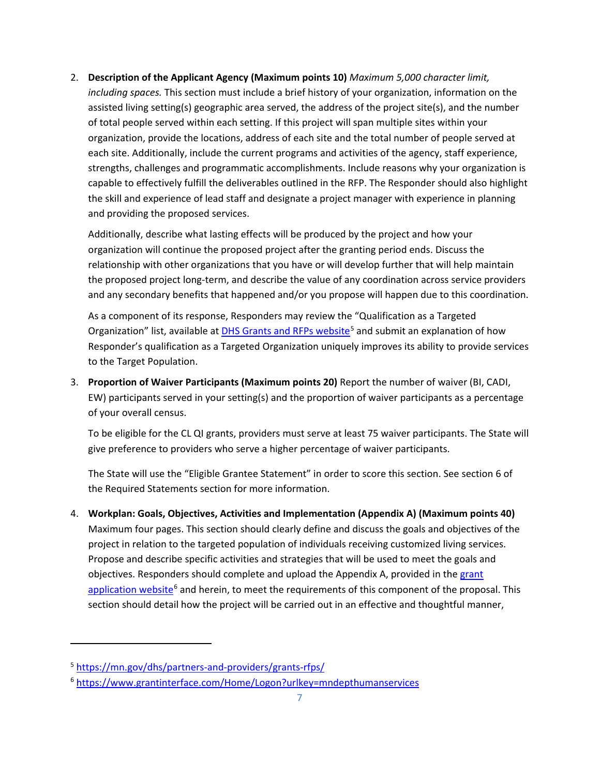2. **Description of the Applicant Agency (Maximum points 10)** *Maximum 5,000 character limit, including spaces.* This section must include a brief history of your organization, information on the assisted living setting(s) geographic area served, the address of the project site(s), and the number of total people served within each setting. If this project will span multiple sites within your organization, provide the locations, address of each site and the total number of people served at each site. Additionally, include the current programs and activities of the agency, staff experience, strengths, challenges and programmatic accomplishments. Include reasons why your organization is capable to effectively fulfill the deliverables outlined in the RFP. The Responder should also highlight the skill and experience of lead staff and designate a project manager with experience in planning and providing the proposed services.

Additionally, describe what lasting effects will be produced by the project and how your organization will continue the proposed project after the granting period ends. Discuss the relationship with other organizations that you have or will develop further that will help maintain the proposed project long-term, and describe the value of any coordination across service providers and any secondary benefits that happened and/or you propose will happen due to this coordination.

As a component of its response, Responders may review the "Qualification as a Targeted Organization" list, available at [DHS Grants and RFPs website](https://mn.gov/dhs/partners-and-providers/grants-rfps/)<sup>[5](#page-7-0)</sup> and submit an explanation of how Responder's qualification as a Targeted Organization uniquely improves its ability to provide services to the Target Population.

3. **Proportion of Waiver Participants (Maximum points 20)** Report the number of waiver (BI, CADI, EW) participants served in your setting(s) and the proportion of waiver participants as a percentage of your overall census.

To be eligible for the CL QI grants, providers must serve at least 75 waiver participants. The State will give preference to providers who serve a higher percentage of waiver participants.

The State will use the "Eligible Grantee Statement" in order to score this section. See section 6 of the Required Statements section for more information.

4. **Workplan: Goals, Objectives, Activities and Implementation (Appendix A) (Maximum points 40)** Maximum four pages. This section should clearly define and discuss the goals and objectives of the project in relation to the targeted population of individuals receiving customized living services. Propose and describe specific activities and strategies that will be used to meet the goals and objectives. Responders should complete and upload the Appendix A, provided in the [grant](https://www.grantinterface.com/Home/Logon?urlkey=mndepthumanservices)  [application website](https://www.grantinterface.com/Home/Logon?urlkey=mndepthumanservices)<sup>[6](#page-7-1)</sup> and herein, to meet the requirements of this component of the proposal. This section should detail how the project will be carried out in an effective and thoughtful manner,

 $\overline{a}$ 

<span id="page-7-0"></span><sup>5</sup> <https://mn.gov/dhs/partners-and-providers/grants-rfps/>

<span id="page-7-1"></span><sup>6</sup> <https://www.grantinterface.com/Home/Logon?urlkey=mndepthumanservices>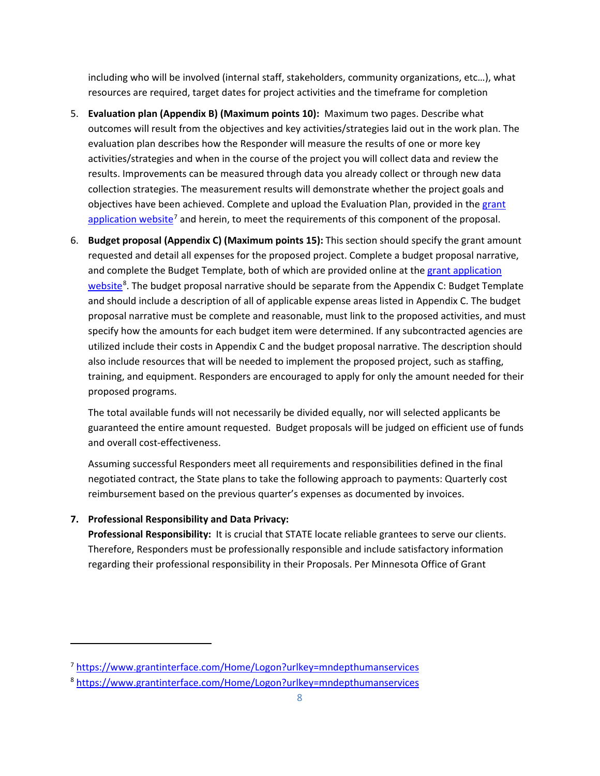including who will be involved (internal staff, stakeholders, community organizations, etc…), what resources are required, target dates for project activities and the timeframe for completion

- 5. **Evaluation plan (Appendix B) (Maximum points 10):** Maximum two pages. Describe what outcomes will result from the objectives and key activities/strategies laid out in the work plan. The evaluation plan describes how the Responder will measure the results of one or more key activities/strategies and when in the course of the project you will collect data and review the results. Improvements can be measured through data you already collect or through new data collection strategies. The measurement results will demonstrate whether the project goals and objectives have been achieved. Complete and upload the Evaluation Plan, provided in the grant [application website](https://www.grantinterface.com/Home/Logon?urlkey=mndepthumanservices)<sup>[7](#page-8-0)</sup> and herein, to meet the requirements of this component of the proposal.
- 6. **Budget proposal (Appendix C) (Maximum points 15):** This section should specify the grant amount requested and detail all expenses for the proposed project. Complete a budget proposal narrative, and complete the Budget Template, both of which are provided online at the [grant application](https://www.grantinterface.com/Home/Logon?urlkey=mndepthumanservices)  [website](https://www.grantinterface.com/Home/Logon?urlkey=mndepthumanservices)<sup>[8](#page-8-1)</sup>. The budget proposal narrative should be separate from the Appendix C: Budget Template and should include a description of all of applicable expense areas listed in Appendix C. The budget proposal narrative must be complete and reasonable, must link to the proposed activities, and must specify how the amounts for each budget item were determined. If any subcontracted agencies are utilized include their costs in Appendix C and the budget proposal narrative. The description should also include resources that will be needed to implement the proposed project, such as staffing, training, and equipment. Responders are encouraged to apply for only the amount needed for their proposed programs.

The total available funds will not necessarily be divided equally, nor will selected applicants be guaranteed the entire amount requested. Budget proposals will be judged on efficient use of funds and overall cost-effectiveness.

Assuming successful Responders meet all requirements and responsibilities defined in the final negotiated contract, the State plans to take the following approach to payments: Quarterly cost reimbursement based on the previous quarter's expenses as documented by invoices.

### **7. Professional Responsibility and Data Privacy:**

 $\overline{a}$ 

**Professional Responsibility:** It is crucial that STATE locate reliable grantees to serve our clients. Therefore, Responders must be professionally responsible and include satisfactory information regarding their professional responsibility in their Proposals. Per Minnesota Office of Grant

<span id="page-8-0"></span><sup>7</sup> <https://www.grantinterface.com/Home/Logon?urlkey=mndepthumanservices>

<span id="page-8-1"></span><sup>8</sup> <https://www.grantinterface.com/Home/Logon?urlkey=mndepthumanservices>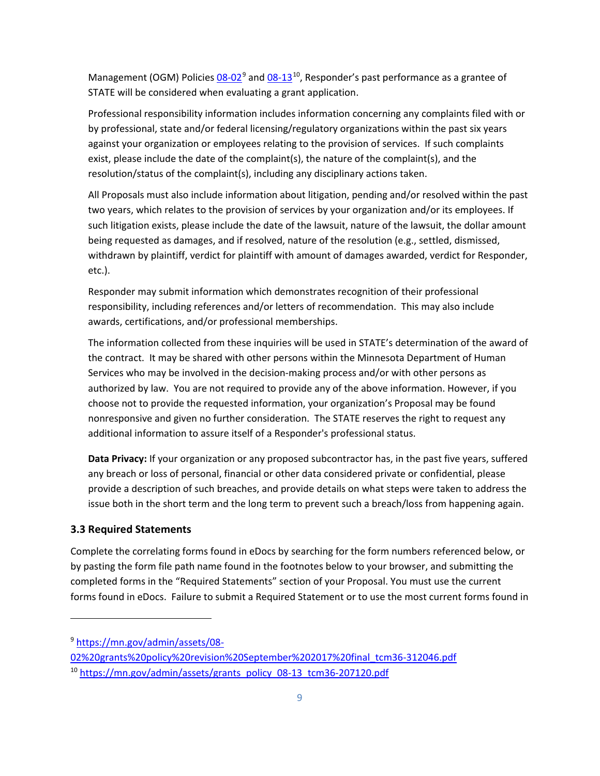Management (OGM) Policies  $08-02^9$  $08-02^9$  and  $08-13^{10}$  $08-13^{10}$  $08-13^{10}$ , Responder's past performance as a grantee of STATE will be considered when evaluating a grant application.

Professional responsibility information includes information concerning any complaints filed with or by professional, state and/or federal licensing/regulatory organizations within the past six years against your organization or employees relating to the provision of services. If such complaints exist, please include the date of the complaint(s), the nature of the complaint(s), and the resolution/status of the complaint(s), including any disciplinary actions taken.

All Proposals must also include information about litigation, pending and/or resolved within the past two years, which relates to the provision of services by your organization and/or its employees. If such litigation exists, please include the date of the lawsuit, nature of the lawsuit, the dollar amount being requested as damages, and if resolved, nature of the resolution (e.g., settled, dismissed, withdrawn by plaintiff, verdict for plaintiff with amount of damages awarded, verdict for Responder, etc.).

Responder may submit information which demonstrates recognition of their professional responsibility, including references and/or letters of recommendation. This may also include awards, certifications, and/or professional memberships.

The information collected from these inquiries will be used in STATE's determination of the award of the contract. It may be shared with other persons within the Minnesota Department of Human Services who may be involved in the decision-making process and/or with other persons as authorized by law. You are not required to provide any of the above information. However, if you choose not to provide the requested information, your organization's Proposal may be found nonresponsive and given no further consideration. The STATE reserves the right to request any additional information to assure itself of a Responder's professional status.

**Data Privacy:** If your organization or any proposed subcontractor has, in the past five years, suffered any breach or loss of personal, financial or other data considered private or confidential, please provide a description of such breaches, and provide details on what steps were taken to address the issue both in the short term and the long term to prevent such a breach/loss from happening again.

### **3.3 Required Statements**

 $\overline{a}$ 

Complete the correlating forms found in eDocs by searching for the form numbers referenced below, or by pasting the form file path name found in the footnotes below to your browser, and submitting the completed forms in the "Required Statements" section of your Proposal. You must use the current forms found in eDocs. Failure to submit a Required Statement or to use the most current forms found in

<span id="page-9-0"></span><sup>9</sup> [https://mn.gov/admin/assets/08-](https://mn.gov/admin/assets/08-02%20grants%20policy%20revision%20September%202017%20final_tcm36-312046.pdf)

[<sup>02%20</sup>grants%20policy%20revision%20September%202017%20final\\_tcm36-312046.pdf](https://mn.gov/admin/assets/08-02%20grants%20policy%20revision%20September%202017%20final_tcm36-312046.pdf)

<span id="page-9-1"></span><sup>10</sup> [https://mn.gov/admin/assets/grants\\_policy\\_08-13\\_tcm36-207120.pdf](https://mn.gov/admin/assets/grants_policy_08-13_tcm36-207120.pdf)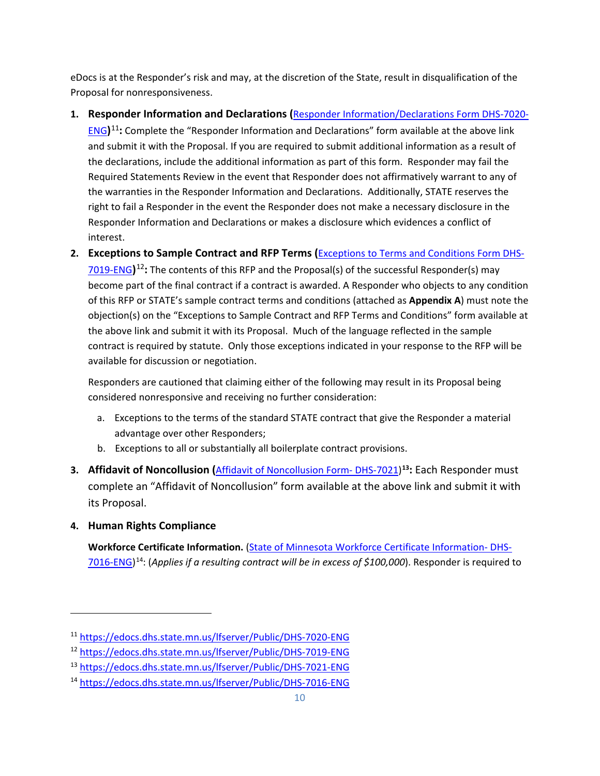eDocs is at the Responder's risk and may, at the discretion of the State, result in disqualification of the Proposal for nonresponsiveness.

**1. Responder Information and Declarations (**[Responder Information/Declarations Form DHS-7020-](https://edocs.dhs.state.mn.us/lfserver/Public/DHS-7020-ENG)

[ENG](https://edocs.dhs.state.mn.us/lfserver/Public/DHS-7020-ENG)**)**[11](#page-10-0)**:** Complete the "Responder Information and Declarations" form available at the above link and submit it with the Proposal. If you are required to submit additional information as a result of the declarations, include the additional information as part of this form. Responder may fail the Required Statements Review in the event that Responder does not affirmatively warrant to any of the warranties in the Responder Information and Declarations. Additionally, STATE reserves the right to fail a Responder in the event the Responder does not make a necessary disclosure in the Responder Information and Declarations or makes a disclosure which evidences a conflict of interest.

**2. Exceptions to Sample Contract and RFP Terms (**[Exceptions to Terms and Conditions Form](https://edocs.dhs.state.mn.us/lfserver/Public/DHS-7019-ENG) DHS-[7019-ENG](https://edocs.dhs.state.mn.us/lfserver/Public/DHS-7019-ENG)**)**[12](#page-10-1)**:** The contents of this RFP and the Proposal(s) of the successful Responder(s) may become part of the final contract if a contract is awarded. A Responder who objects to any condition of this RFP or STATE's sample contract terms and conditions (attached as **Appendix A**) must note the objection(s) on the "Exceptions to Sample Contract and RFP Terms and Conditions" form available at the above link and submit it with its Proposal. Much of the language reflected in the sample contract is required by statute. Only those exceptions indicated in your response to the RFP will be available for discussion or negotiation.

Responders are cautioned that claiming either of the following may result in its Proposal being considered nonresponsive and receiving no further consideration:

- a. Exceptions to the terms of the standard STATE contract that give the Responder a material advantage over other Responders;
- b. Exceptions to all or substantially all boilerplate contract provisions.
- **3. Affidavit of Noncollusion (**[Affidavit of Noncollusion Form-](https://edocs.dhs.state.mn.us/lfserver/Public/DHS-7021-ENG) DHS-7021) **[13:](#page-10-2)** Each Responder must complete an "Affidavit of Noncollusion" form available at the above link and submit it with its Proposal.

# **4. Human Rights Compliance**

 $\overline{\phantom{a}}$ 

**Workforce Certificate Information.** [\(State of Minnesota Workforce Certificate Information-](https://edocs.dhs.state.mn.us/lfserver/Public/DHS-7016-ENG) DHS-[7016-ENG\)](https://edocs.dhs.state.mn.us/lfserver/Public/DHS-7016-ENG) [14:](#page-10-3) (*Applies if a resulting contract will be in excess of \$100,000*). Responder is required to

<span id="page-10-0"></span><sup>11</sup> <https://edocs.dhs.state.mn.us/lfserver/Public/DHS-7020-ENG>

<span id="page-10-1"></span><sup>12</sup> <https://edocs.dhs.state.mn.us/lfserver/Public/DHS-7019-ENG>

<span id="page-10-2"></span><sup>13</sup> <https://edocs.dhs.state.mn.us/lfserver/Public/DHS-7021-ENG>

<span id="page-10-3"></span><sup>14</sup> <https://edocs.dhs.state.mn.us/lfserver/Public/DHS-7016-ENG>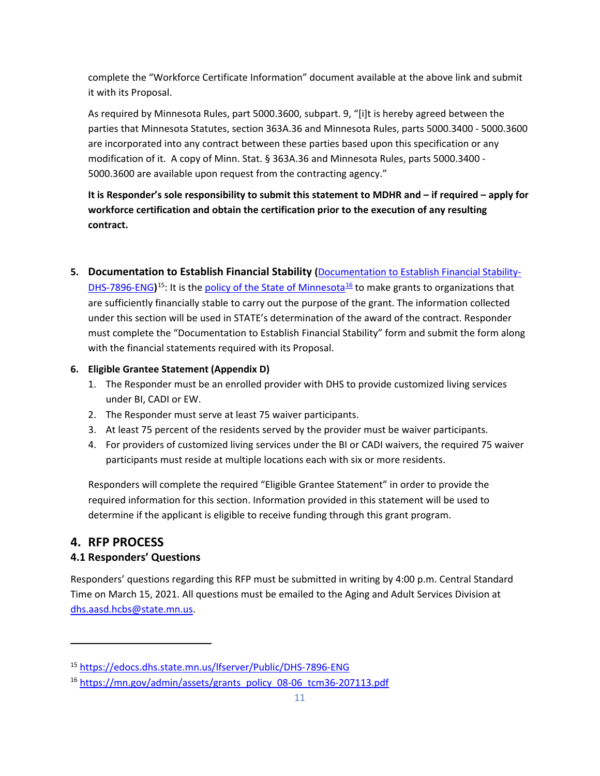complete the "Workforce Certificate Information" document available at the above link and submit it with its Proposal.

As required by Minnesota Rules, part 5000.3600, subpart. 9, "[i]t is hereby agreed between the parties that Minnesota Statutes, section 363A.36 and Minnesota Rules, parts 5000.3400 - 5000.3600 are incorporated into any contract between these parties based upon this specification or any modification of it. A copy of Minn. Stat. § 363A.36 and Minnesota Rules, parts 5000.3400 - 5000.3600 are available upon request from the contracting agency."

**It is Responder's sole responsibility to submit this statement to MDHR and – if required – apply for workforce certification and obtain the certification prior to the execution of any resulting contract.**

**5. Documentation to Establish Financial Stability (**[Documentation to Establish Financial Stability-](https://edocs.dhs.state.mn.us/lfserver/Public/DHS-7896-ENG)

[DHS-7896-ENG](https://edocs.dhs.state.mn.us/lfserver/Public/DHS-7896-ENG))<sup>[15](#page-11-1)</sup>: It is the [policy of the State of Minnesota](https://mn.gov/admin/assets/grants_policy_08-06_tcm36-207113.pdf)<sup>[16](#page-11-2)</sup> to make grants to organizations that are sufficiently financially stable to carry out the purpose of the grant. The information collected under this section will be used in STATE's determination of the award of the contract. Responder must complete the "Documentation to Establish Financial Stability" form and submit the form along with the financial statements required with its Proposal.

### **6. Eligible Grantee Statement (Appendix D)**

- 1. The Responder must be an enrolled provider with DHS to provide customized living services under BI, CADI or EW.
- 2. The Responder must serve at least 75 waiver participants.
- 3. At least 75 percent of the residents served by the provider must be waiver participants.
- 4. For providers of customized living services under the BI or CADI waivers, the required 75 waiver participants must reside at multiple locations each with six or more residents.

Responders will complete the required "Eligible Grantee Statement" in order to provide the required information for this section. Information provided in this statement will be used to determine if the applicant is eligible to receive funding through this grant program.

# <span id="page-11-0"></span>**4. RFP PROCESS**

 $\overline{a}$ 

# **4.1 Responders' Questions**

Responders' questions regarding this RFP must be submitted in writing by 4:00 p.m. Central Standard Time on March 15, 2021. All questions must be emailed to the Aging and Adult Services Division at [dhs.aasd.hcbs@state.mn.us.](mailto:dhs.aasd.hcbs@state.mn.us)

<span id="page-11-1"></span><sup>15</sup> <https://edocs.dhs.state.mn.us/lfserver/Public/DHS-7896-ENG>

<span id="page-11-2"></span><sup>&</sup>lt;sup>16</sup> [https://mn.gov/admin/assets/grants\\_policy\\_08-06\\_tcm36-207113.pdf](https://mn.gov/admin/assets/grants_policy_08-06_tcm36-207113.pdf)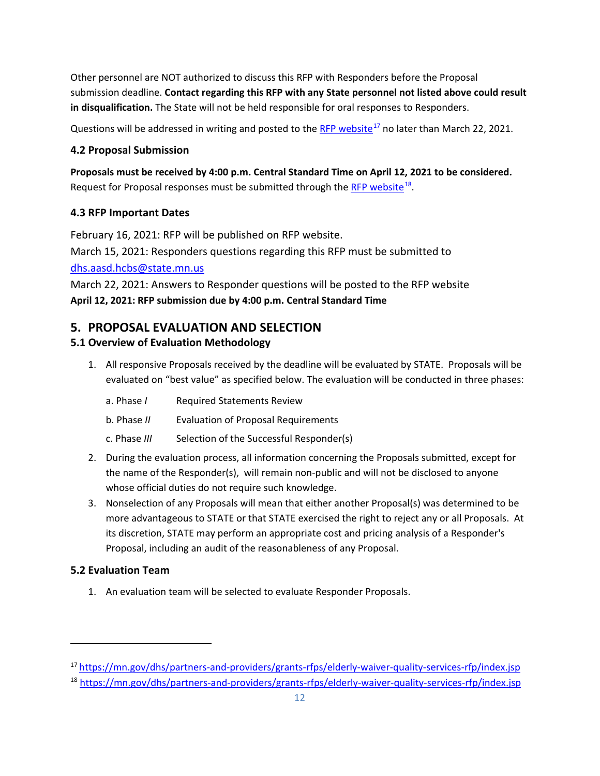Other personnel are NOT authorized to discuss this RFP with Responders before the Proposal submission deadline. **Contact regarding this RFP with any State personnel not listed above could result in disqualification.** The State will not be held responsible for oral responses to Responders.

Questions will be addressed in writing and posted to the [RFP website](https://mn.gov/dhs/partners-and-providers/grants-rfps/elderly-waiver-quality-services-rfp/index.jsp)<sup>[17](#page-12-1)</sup> no later than March 22, 2021.

### **4.2 Proposal Submission**

**Proposals must be received by 4:00 p.m. Central Standard Time on April 12, 2021 to be considered.** Request for Proposal responses must be submitted through the [RFP website](https://mn.gov/dhs/partners-and-providers/grants-rfps/elderly-waiver-quality-services-rfp/index.jsp)<sup>[18](#page-12-2)</sup>.

### **4.3 RFP Important Dates**

February 16, 2021: RFP will be published on RFP website. March 15, 2021: Responders questions regarding this RFP must be submitted to [dhs.aasd.hcbs@state.mn.us](mailto:dhs.aasd.hcbs@state.mn.us)

March 22, 2021: Answers to Responder questions will be posted to the RFP website **April 12, 2021: RFP submission due by 4:00 p.m. Central Standard Time**

# <span id="page-12-0"></span>**5. PROPOSAL EVALUATION AND SELECTION**

# **5.1 Overview of Evaluation Methodology**

1. All responsive Proposals received by the deadline will be evaluated by STATE. Proposals will be evaluated on "best value" as specified below. The evaluation will be conducted in three phases:

| a. Phase I | <b>Required Statements Review</b> |
|------------|-----------------------------------|
|            |                                   |

- b. Phase *II* Evaluation of Proposal Requirements
- c. Phase *III* Selection of the Successful Responder(s)
- 2. During the evaluation process, all information concerning the Proposals submitted, except for the name of the Responder(s), will remain non-public and will not be disclosed to anyone whose official duties do not require such knowledge.
- 3. Nonselection of any Proposals will mean that either another Proposal(s) was determined to be more advantageous to STATE or that STATE exercised the right to reject any or all Proposals. At its discretion, STATE may perform an appropriate cost and pricing analysis of a Responder's Proposal, including an audit of the reasonableness of any Proposal.

### **5.2 Evaluation Team**

 $\overline{a}$ 

1. An evaluation team will be selected to evaluate Responder Proposals.

<span id="page-12-1"></span><sup>&</sup>lt;sup>17</sup> <https://mn.gov/dhs/partners-and-providers/grants-rfps/elderly-waiver-quality-services-rfp/index.jsp>

<span id="page-12-2"></span><sup>18</sup> <https://mn.gov/dhs/partners-and-providers/grants-rfps/elderly-waiver-quality-services-rfp/index.jsp>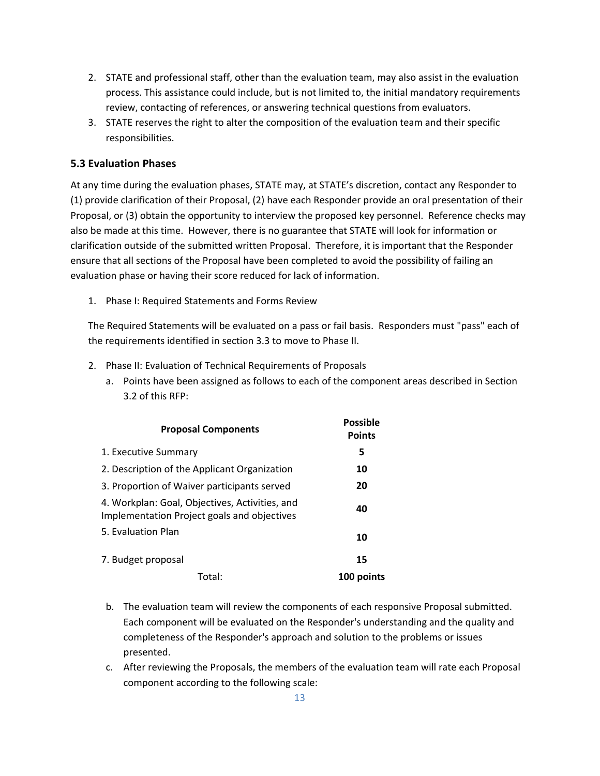- 2. STATE and professional staff, other than the evaluation team, may also assist in the evaluation process. This assistance could include, but is not limited to, the initial mandatory requirements review, contacting of references, or answering technical questions from evaluators.
- 3. STATE reserves the right to alter the composition of the evaluation team and their specific responsibilities.

### **5.3 Evaluation Phases**

At any time during the evaluation phases, STATE may, at STATE's discretion, contact any Responder to (1) provide clarification of their Proposal, (2) have each Responder provide an oral presentation of their Proposal, or (3) obtain the opportunity to interview the proposed key personnel. Reference checks may also be made at this time. However, there is no guarantee that STATE will look for information or clarification outside of the submitted written Proposal. Therefore, it is important that the Responder ensure that all sections of the Proposal have been completed to avoid the possibility of failing an evaluation phase or having their score reduced for lack of information.

1. Phase I: Required Statements and Forms Review

The Required Statements will be evaluated on a pass or fail basis. Responders must "pass" each of the requirements identified in section 3.3 to move to Phase II.

- 2. Phase II: Evaluation of Technical Requirements of Proposals
	- a. Points have been assigned as follows to each of the component areas described in Section 3.2 of this RFP:

| <b>Proposal Components</b>                                                                    | <b>Possible</b><br><b>Points</b> |
|-----------------------------------------------------------------------------------------------|----------------------------------|
| 1. Executive Summary                                                                          | 5                                |
| 2. Description of the Applicant Organization                                                  | 10                               |
| 3. Proportion of Waiver participants served                                                   | 20                               |
| 4. Workplan: Goal, Objectives, Activities, and<br>Implementation Project goals and objectives | 40                               |
| 5. Evaluation Plan                                                                            | 10                               |
| 7. Budget proposal                                                                            | 15                               |
| Total:                                                                                        | 100 points                       |

- b. The evaluation team will review the components of each responsive Proposal submitted. Each component will be evaluated on the Responder's understanding and the quality and completeness of the Responder's approach and solution to the problems or issues presented.
- c. After reviewing the Proposals, the members of the evaluation team will rate each Proposal component according to the following scale: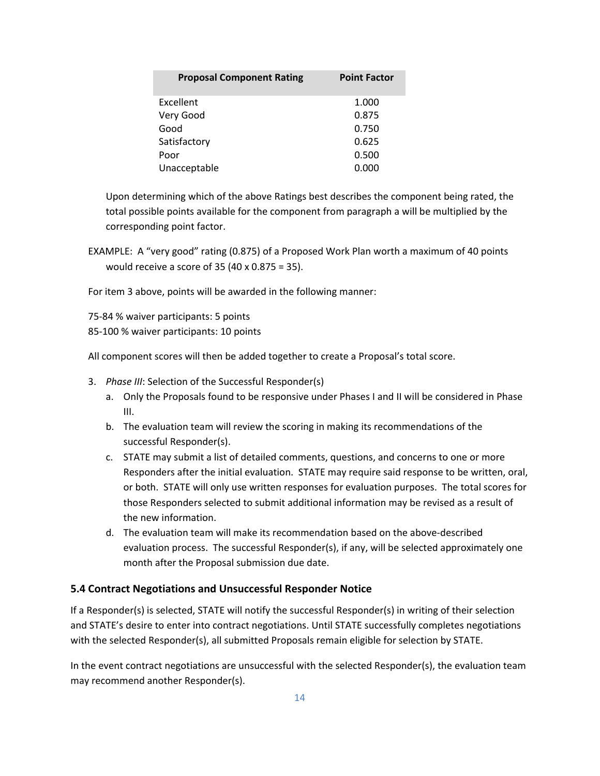| <b>Proposal Component Rating</b> | <b>Point Factor</b> |
|----------------------------------|---------------------|
| Excellent                        | 1.000               |
| Very Good                        | 0.875               |
| Good                             | 0.750               |
| Satisfactory                     | 0.625               |
| Poor                             | 0.500               |
| Unacceptable                     | 0.000               |

Upon determining which of the above Ratings best describes the component being rated, the total possible points available for the component from paragraph a will be multiplied by the corresponding point factor.

EXAMPLE: A "very good" rating (0.875) of a Proposed Work Plan worth a maximum of 40 points would receive a score of 35 (40 x 0.875 = 35).

For item 3 above, points will be awarded in the following manner:

75-84 % waiver participants: 5 points

85-100 % waiver participants: 10 points

All component scores will then be added together to create a Proposal's total score.

- 3. *Phase III*: Selection of the Successful Responder(s)
	- a. Only the Proposals found to be responsive under Phases I and II will be considered in Phase III.
	- b. The evaluation team will review the scoring in making its recommendations of the successful Responder(s).
	- c. STATE may submit a list of detailed comments, questions, and concerns to one or more Responders after the initial evaluation. STATE may require said response to be written, oral, or both. STATE will only use written responses for evaluation purposes. The total scores for those Responders selected to submit additional information may be revised as a result of the new information.
	- d. The evaluation team will make its recommendation based on the above-described evaluation process. The successful Responder(s), if any, will be selected approximately one month after the Proposal submission due date.

### **5.4 Contract Negotiations and Unsuccessful Responder Notice**

If a Responder(s) is selected, STATE will notify the successful Responder(s) in writing of their selection and STATE's desire to enter into contract negotiations. Until STATE successfully completes negotiations with the selected Responder(s), all submitted Proposals remain eligible for selection by STATE.

In the event contract negotiations are unsuccessful with the selected Responder(s), the evaluation team may recommend another Responder(s).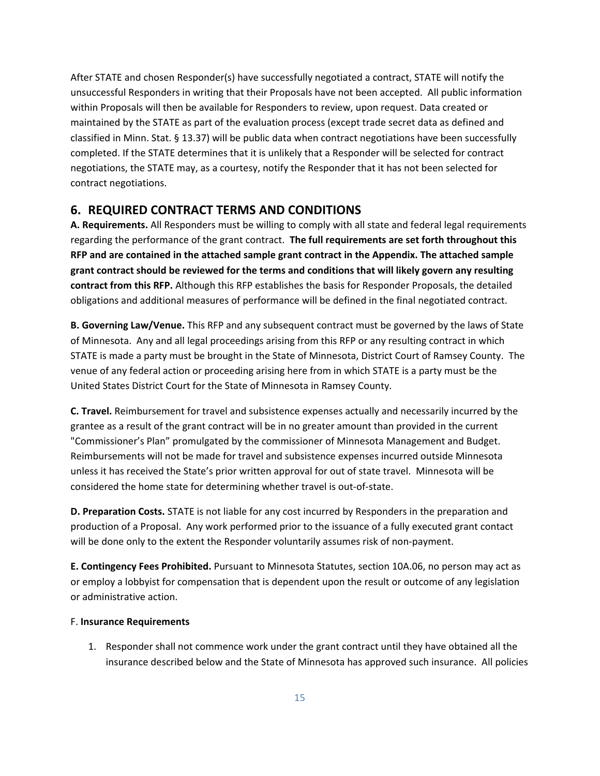After STATE and chosen Responder(s) have successfully negotiated a contract, STATE will notify the unsuccessful Responders in writing that their Proposals have not been accepted. All public information within Proposals will then be available for Responders to review, upon request. Data created or maintained by the STATE as part of the evaluation process (except trade secret data as defined and classified in Minn. Stat. § 13.37) will be public data when contract negotiations have been successfully completed. If the STATE determines that it is unlikely that a Responder will be selected for contract negotiations, the STATE may, as a courtesy, notify the Responder that it has not been selected for contract negotiations.

### <span id="page-15-0"></span>**6. REQUIRED CONTRACT TERMS AND CONDITIONS**

**A. Requirements.** All Responders must be willing to comply with all state and federal legal requirements regarding the performance of the grant contract. **The full requirements are set forth throughout this RFP and are contained in the attached sample grant contract in the Appendix. The attached sample grant contract should be reviewed for the terms and conditions that will likely govern any resulting contract from this RFP.** Although this RFP establishes the basis for Responder Proposals, the detailed obligations and additional measures of performance will be defined in the final negotiated contract.

**B. Governing Law/Venue.** This RFP and any subsequent contract must be governed by the laws of State of Minnesota. Any and all legal proceedings arising from this RFP or any resulting contract in which STATE is made a party must be brought in the State of Minnesota, District Court of Ramsey County. The venue of any federal action or proceeding arising here from in which STATE is a party must be the United States District Court for the State of Minnesota in Ramsey County.

**C. Travel.** Reimbursement for travel and subsistence expenses actually and necessarily incurred by the grantee as a result of the grant contract will be in no greater amount than provided in the current "Commissioner's Plan" promulgated by the commissioner of Minnesota Management and Budget. Reimbursements will not be made for travel and subsistence expenses incurred outside Minnesota unless it has received the State's prior written approval for out of state travel. Minnesota will be considered the home state for determining whether travel is out-of-state.

**D. Preparation Costs.** STATE is not liable for any cost incurred by Responders in the preparation and production of a Proposal. Any work performed prior to the issuance of a fully executed grant contact will be done only to the extent the Responder voluntarily assumes risk of non-payment.

**E. Contingency Fees Prohibited.** Pursuant to Minnesota Statutes, section 10A.06, no person may act as or employ a lobbyist for compensation that is dependent upon the result or outcome of any legislation or administrative action.

#### F. **Insurance Requirements**

1. Responder shall not commence work under the grant contract until they have obtained all the insurance described below and the State of Minnesota has approved such insurance. All policies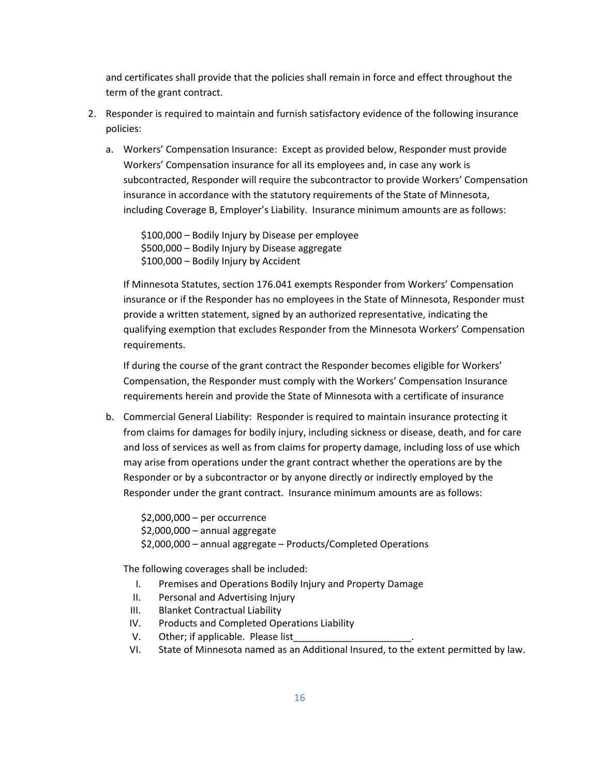and certificates shall provide that the policies shall remain in force and effect throughout the term of the grant contract.

- 2. Responder is required to maintain and furnish satisfactory evidence of the following insurance policies:
	- a. Workers' Compensation Insurance: Except as provided below, Responder must provide Workers' Compensation insurance for all its employees and, in case any work is subcontracted, Responder will require the subcontractor to provide Workers' Compensation insurance in accordance with the statutory requirements of the State of Minnesota, including Coverage B, Employer's Liability. Insurance minimum amounts are as follows:

\$100,000 – Bodily Injury by Disease per employee \$500,000 – Bodily Injury by Disease aggregate \$100,000 – Bodily Injury by Accident

If Minnesota Statutes, section 176.041 exempts Responder from Workers' Compensation insurance or if the Responder has no employees in the State of Minnesota, Responder must provide a written statement, signed by an authorized representative, indicating the qualifying exemption that excludes Responder from the Minnesota Workers' Compensation requirements.

If during the course of the grant contract the Responder becomes eligible for Workers' Compensation, the Responder must comply with the Workers' Compensation Insurance requirements herein and provide the State of Minnesota with a certificate of insurance

b. Commercial General Liability: Responder is required to maintain insurance protecting it from claims for damages for bodily injury, including sickness or disease, death, and for care and loss of services as well as from claims for property damage, including loss of use which may arise from operations under the grant contract whether the operations are by the Responder or by a subcontractor or by anyone directly or indirectly employed by the Responder under the grant contract. Insurance minimum amounts are as follows:

\$2,000,000 – per occurrence \$2,000,000 – annual aggregate \$2,000,000 – annual aggregate – Products/Completed Operations

The following coverages shall be included:

- I. Premises and Operations Bodily Injury and Property Damage
- II. Personal and Advertising Injury
- III. Blanket Contractual Liability
- IV. Products and Completed Operations Liability
- V. Other; if applicable. Please list
- VI. State of Minnesota named as an Additional Insured, to the extent permitted by law.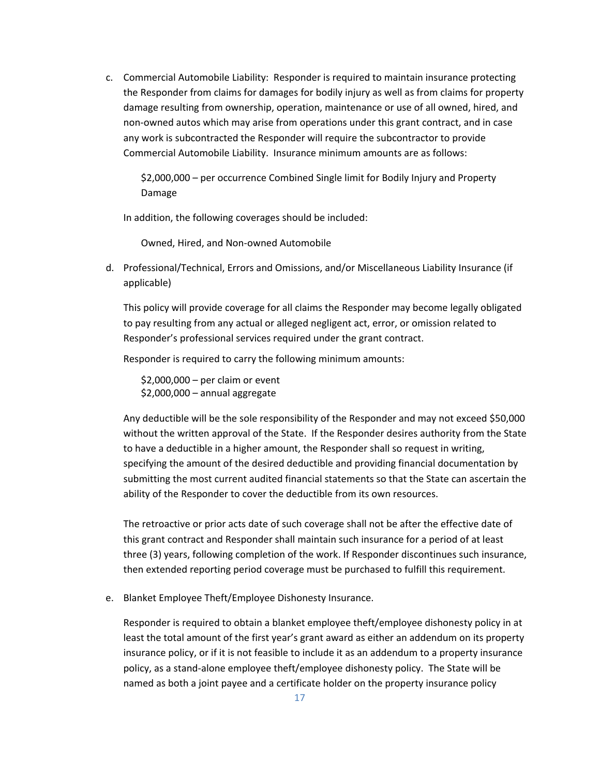c. Commercial Automobile Liability: Responder is required to maintain insurance protecting the Responder from claims for damages for bodily injury as well as from claims for property damage resulting from ownership, operation, maintenance or use of all owned, hired, and non-owned autos which may arise from operations under this grant contract, and in case any work is subcontracted the Responder will require the subcontractor to provide Commercial Automobile Liability. Insurance minimum amounts are as follows:

\$2,000,000 – per occurrence Combined Single limit for Bodily Injury and Property Damage

In addition, the following coverages should be included:

Owned, Hired, and Non-owned Automobile

d. Professional/Technical, Errors and Omissions, and/or Miscellaneous Liability Insurance (if applicable)

This policy will provide coverage for all claims the Responder may become legally obligated to pay resulting from any actual or alleged negligent act, error, or omission related to Responder's professional services required under the grant contract.

Responder is required to carry the following minimum amounts:

\$2,000,000 – per claim or event \$2,000,000 – annual aggregate

Any deductible will be the sole responsibility of the Responder and may not exceed \$50,000 without the written approval of the State. If the Responder desires authority from the State to have a deductible in a higher amount, the Responder shall so request in writing, specifying the amount of the desired deductible and providing financial documentation by submitting the most current audited financial statements so that the State can ascertain the ability of the Responder to cover the deductible from its own resources.

The retroactive or prior acts date of such coverage shall not be after the effective date of this grant contract and Responder shall maintain such insurance for a period of at least three (3) years, following completion of the work. If Responder discontinues such insurance, then extended reporting period coverage must be purchased to fulfill this requirement.

e. Blanket Employee Theft/Employee Dishonesty Insurance.

Responder is required to obtain a blanket employee theft/employee dishonesty policy in at least the total amount of the first year's grant award as either an addendum on its property insurance policy, or if it is not feasible to include it as an addendum to a property insurance policy, as a stand-alone employee theft/employee dishonesty policy. The State will be named as both a joint payee and a certificate holder on the property insurance policy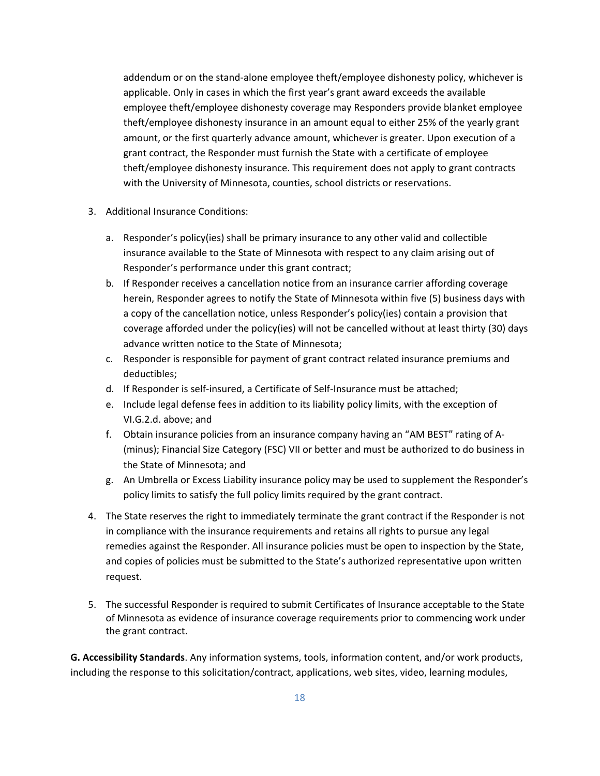addendum or on the stand-alone employee theft/employee dishonesty policy, whichever is applicable. Only in cases in which the first year's grant award exceeds the available employee theft/employee dishonesty coverage may Responders provide blanket employee theft/employee dishonesty insurance in an amount equal to either 25% of the yearly grant amount, or the first quarterly advance amount, whichever is greater. Upon execution of a grant contract, the Responder must furnish the State with a certificate of employee theft/employee dishonesty insurance. This requirement does not apply to grant contracts with the University of Minnesota, counties, school districts or reservations.

- 3. Additional Insurance Conditions:
	- a. Responder's policy(ies) shall be primary insurance to any other valid and collectible insurance available to the State of Minnesota with respect to any claim arising out of Responder's performance under this grant contract;
	- b. If Responder receives a cancellation notice from an insurance carrier affording coverage herein, Responder agrees to notify the State of Minnesota within five (5) business days with a copy of the cancellation notice, unless Responder's policy(ies) contain a provision that coverage afforded under the policy(ies) will not be cancelled without at least thirty (30) days advance written notice to the State of Minnesota;
	- c. Responder is responsible for payment of grant contract related insurance premiums and deductibles;
	- d. If Responder is self-insured, a Certificate of Self-Insurance must be attached;
	- e. Include legal defense fees in addition to its liability policy limits, with the exception of VI.G.2.d. above; and
	- f. Obtain insurance policies from an insurance company having an "AM BEST" rating of A- (minus); Financial Size Category (FSC) VII or better and must be authorized to do business in the State of Minnesota; and
	- g. An Umbrella or Excess Liability insurance policy may be used to supplement the Responder's policy limits to satisfy the full policy limits required by the grant contract.
- 4. The State reserves the right to immediately terminate the grant contract if the Responder is not in compliance with the insurance requirements and retains all rights to pursue any legal remedies against the Responder. All insurance policies must be open to inspection by the State, and copies of policies must be submitted to the State's authorized representative upon written request.
- 5. The successful Responder is required to submit Certificates of Insurance acceptable to the State of Minnesota as evidence of insurance coverage requirements prior to commencing work under the grant contract.

**G. Accessibility Standards**. Any information systems, tools, information content, and/or work products, including the response to this solicitation/contract, applications, web sites, video, learning modules,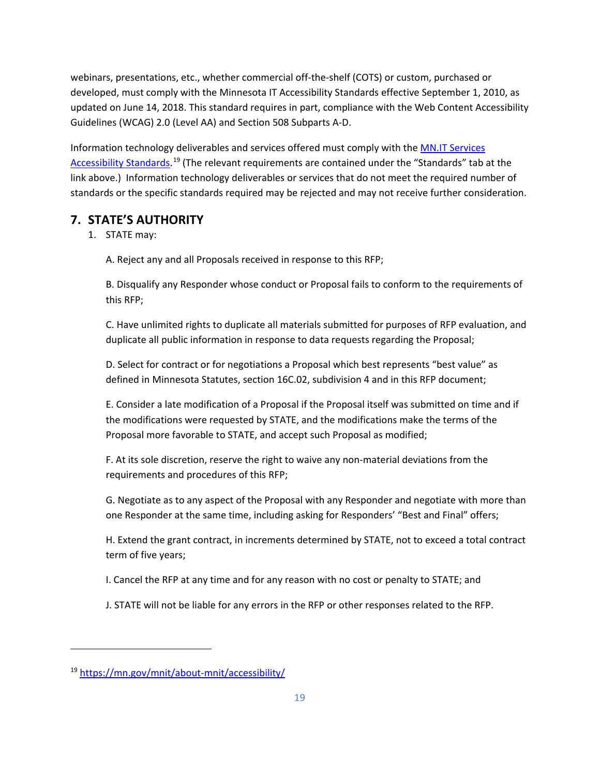webinars, presentations, etc., whether commercial off-the-shelf (COTS) or custom, purchased or developed, must comply with the Minnesota IT Accessibility Standards effective September 1, 2010, as updated on June 14, 2018. This standard requires in part, compliance with the Web Content Accessibility Guidelines (WCAG) 2.0 (Level AA) and Section 508 Subparts A-D.

Information technology deliverables and services offered must comply with the [MN.IT Services](https://mn.gov/mnit/about-mnit/accessibility/)  [Accessibility Standards.](https://mn.gov/mnit/about-mnit/accessibility/)<sup>[19](#page-19-1)</sup> (The relevant requirements are contained under the "Standards" tab at the link above.) Information technology deliverables or services that do not meet the required number of standards or the specific standards required may be rejected and may not receive further consideration.

# <span id="page-19-0"></span>**7. STATE'S AUTHORITY**

1. STATE may:

A. Reject any and all Proposals received in response to this RFP;

B. Disqualify any Responder whose conduct or Proposal fails to conform to the requirements of this RFP;

C. Have unlimited rights to duplicate all materials submitted for purposes of RFP evaluation, and duplicate all public information in response to data requests regarding the Proposal;

D. Select for contract or for negotiations a Proposal which best represents "best value" as defined in Minnesota Statutes, section 16C.02, subdivision 4 and in this RFP document;

E. Consider a late modification of a Proposal if the Proposal itself was submitted on time and if the modifications were requested by STATE, and the modifications make the terms of the Proposal more favorable to STATE, and accept such Proposal as modified;

F. At its sole discretion, reserve the right to waive any non-material deviations from the requirements and procedures of this RFP;

G. Negotiate as to any aspect of the Proposal with any Responder and negotiate with more than one Responder at the same time, including asking for Responders' "Best and Final" offers;

H. Extend the grant contract, in increments determined by STATE, not to exceed a total contract term of five years;

I. Cancel the RFP at any time and for any reason with no cost or penalty to STATE; and

J. STATE will not be liable for any errors in the RFP or other responses related to the RFP.

 $\overline{\phantom{a}}$ 

<span id="page-19-1"></span><sup>19</sup> <https://mn.gov/mnit/about-mnit/accessibility/>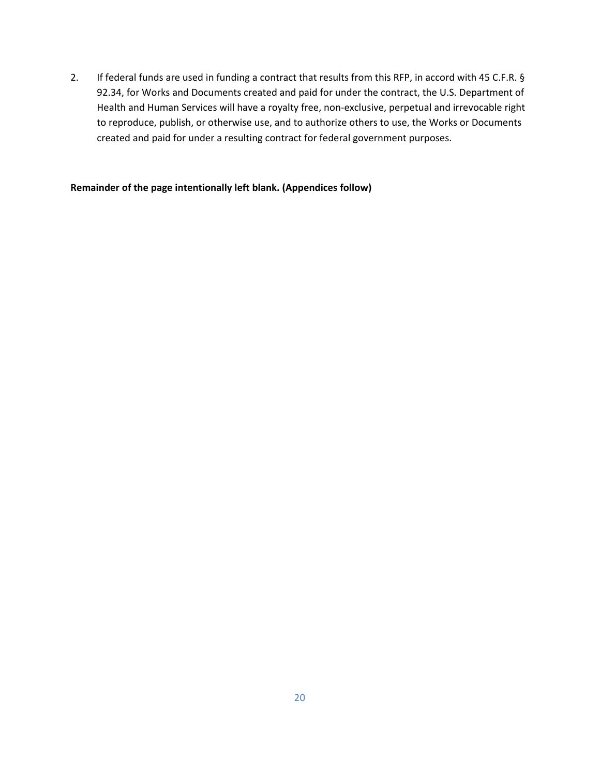2. If federal funds are used in funding a contract that results from this RFP, in accord with 45 C.F.R. § 92.34, for Works and Documents created and paid for under the contract, the U.S. Department of Health and Human Services will have a royalty free, non-exclusive, perpetual and irrevocable right to reproduce, publish, or otherwise use, and to authorize others to use, the Works or Documents created and paid for under a resulting contract for federal government purposes.

### **Remainder of the page intentionally left blank. (Appendices follow)**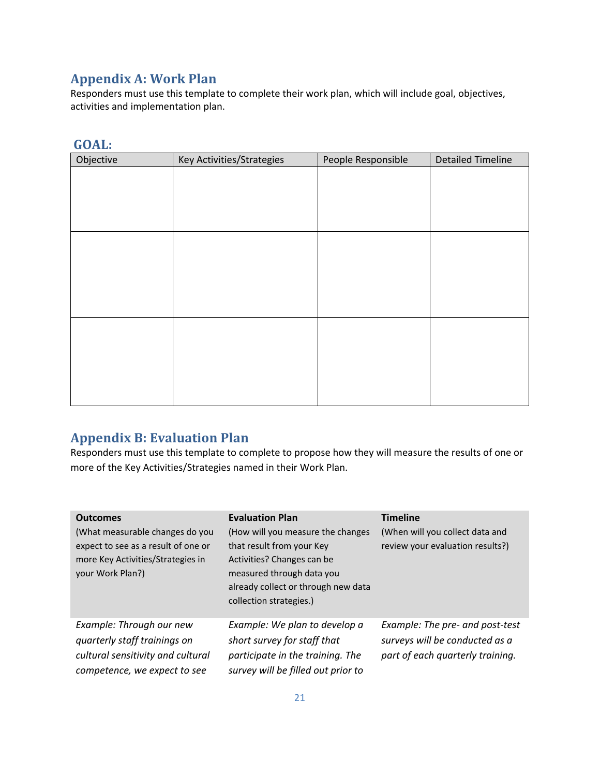# <span id="page-21-0"></span>**Appendix A: Work Plan**

Responders must use this template to complete their work plan, which will include goal, objectives, activities and implementation plan.

| Objective | Key Activities/Strategies | People Responsible | <b>Detailed Timeline</b> |
|-----------|---------------------------|--------------------|--------------------------|
|           |                           |                    |                          |
|           |                           |                    |                          |
|           |                           |                    |                          |
|           |                           |                    |                          |
|           |                           |                    |                          |
|           |                           |                    |                          |
|           |                           |                    |                          |
|           |                           |                    |                          |
|           |                           |                    |                          |
|           |                           |                    |                          |
|           |                           |                    |                          |
|           |                           |                    |                          |
|           |                           |                    |                          |

# **GOAL:**

# <span id="page-21-1"></span>**Appendix B: Evaluation Plan**

Responders must use this template to complete to propose how they will measure the results of one or more of the Key Activities/Strategies named in their Work Plan.

| <b>Outcomes</b>                                                                                                                 | <b>Evaluation Plan</b>                                                                                                                                                                      | <b>Timeline</b>                                                                                       |
|---------------------------------------------------------------------------------------------------------------------------------|---------------------------------------------------------------------------------------------------------------------------------------------------------------------------------------------|-------------------------------------------------------------------------------------------------------|
| (What measurable changes do you<br>expect to see as a result of one or<br>more Key Activities/Strategies in<br>your Work Plan?) | (How will you measure the changes<br>that result from your Key<br>Activities? Changes can be<br>measured through data you<br>already collect or through new data<br>collection strategies.) | (When will you collect data and<br>review your evaluation results?)                                   |
| Example: Through our new<br>quarterly staff trainings on<br>cultural sensitivity and cultural<br>competence, we expect to see   | Example: We plan to develop a<br>short survey for staff that<br>participate in the training. The<br>survey will be filled out prior to                                                      | Example: The pre- and post-test<br>surveys will be conducted as a<br>part of each quarterly training. |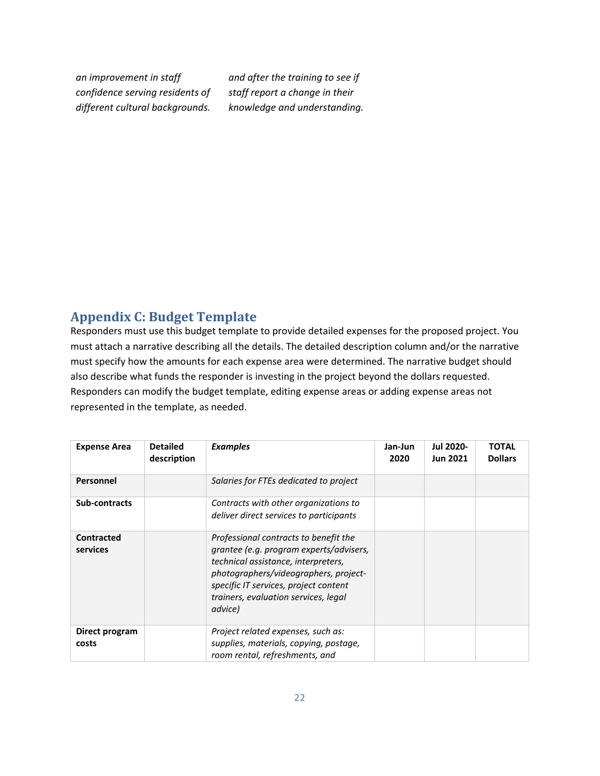*an improvement in staff confidence serving residents of different cultural backgrounds.* 

*and after the training to see if staff report a change in their knowledge and understanding.*

# <span id="page-22-0"></span>**Appendix C: Budget Template**

Responders must use this budget template to provide detailed expenses for the proposed project. You must attach a narrative describing all the details. The detailed description column and/or the narrative must specify how the amounts for each expense area were determined. The narrative budget should also describe what funds the responder is investing in the project beyond the dollars requested. Responders can modify the budget template, editing expense areas or adding expense areas not represented in the template, as needed.

| <b>Expense Area</b>           | <b>Detailed</b><br>description | <b>Examples</b>                                                                                                                                                                                                                                              | Jan-Jun<br>2020 | <b>Jul 2020-</b><br><b>Jun 2021</b> | <b>TOTAL</b><br><b>Dollars</b> |
|-------------------------------|--------------------------------|--------------------------------------------------------------------------------------------------------------------------------------------------------------------------------------------------------------------------------------------------------------|-----------------|-------------------------------------|--------------------------------|
| Personnel                     |                                | Salaries for FTEs dedicated to project                                                                                                                                                                                                                       |                 |                                     |                                |
| Sub-contracts                 |                                | Contracts with other organizations to<br>deliver direct services to participants                                                                                                                                                                             |                 |                                     |                                |
| <b>Contracted</b><br>services |                                | Professional contracts to benefit the<br>grantee (e.g. program experts/advisers,<br>technical assistance, interpreters,<br>photographers/videographers, project-<br>specific IT services, project content<br>trainers, evaluation services, legal<br>advice) |                 |                                     |                                |
| Direct program<br>costs       |                                | Project related expenses, such as:<br>supplies, materials, copying, postage,<br>room rental, refreshments, and                                                                                                                                               |                 |                                     |                                |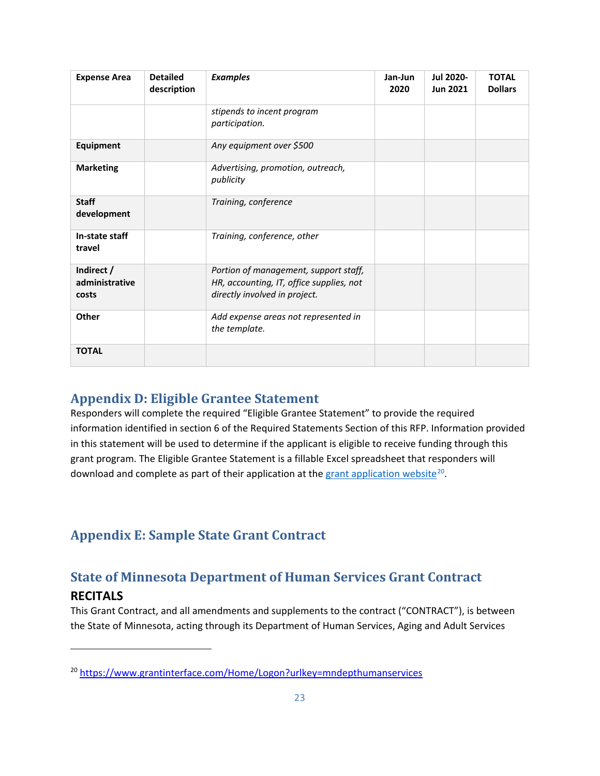| <b>Expense Area</b>                   | <b>Detailed</b><br>description | <b>Examples</b>                                                                                                    | Jan-Jun<br>2020 | <b>Jul 2020-</b><br><b>Jun 2021</b> | <b>TOTAL</b><br><b>Dollars</b> |
|---------------------------------------|--------------------------------|--------------------------------------------------------------------------------------------------------------------|-----------------|-------------------------------------|--------------------------------|
|                                       |                                | stipends to incent program<br>participation.                                                                       |                 |                                     |                                |
| Equipment                             |                                | Any equipment over \$500                                                                                           |                 |                                     |                                |
| <b>Marketing</b>                      |                                | Advertising, promotion, outreach,<br>publicity                                                                     |                 |                                     |                                |
| <b>Staff</b><br>development           |                                | Training, conference                                                                                               |                 |                                     |                                |
| In-state staff<br>travel              |                                | Training, conference, other                                                                                        |                 |                                     |                                |
| Indirect /<br>administrative<br>costs |                                | Portion of management, support staff,<br>HR, accounting, IT, office supplies, not<br>directly involved in project. |                 |                                     |                                |
| Other                                 |                                | Add expense areas not represented in<br>the template.                                                              |                 |                                     |                                |
| <b>TOTAL</b>                          |                                |                                                                                                                    |                 |                                     |                                |

# <span id="page-23-0"></span>**Appendix D: Eligible Grantee Statement**

Responders will complete the required "Eligible Grantee Statement" to provide the required information identified in section 6 of the Required Statements Section of this RFP. Information provided in this statement will be used to determine if the applicant is eligible to receive funding through this grant program. The Eligible Grantee Statement is a fillable Excel spreadsheet that responders will download and complete as part of their application at th[e grant application website](https://www.grantinterface.com/Home/Logon?urlkey=mndepthumanservices)<sup>20</sup>.

# <span id="page-23-2"></span><span id="page-23-1"></span>**Appendix E: Sample State Grant Contract**

# **State of Minnesota Department of Human Services Grant Contract**

# **RECITALS**

 $\overline{\phantom{a}}$ 

This Grant Contract, and all amendments and supplements to the contract ("CONTRACT"), is between the State of Minnesota, acting through its Department of Human Services, Aging and Adult Services

<span id="page-23-3"></span><sup>20</sup> <https://www.grantinterface.com/Home/Logon?urlkey=mndepthumanservices>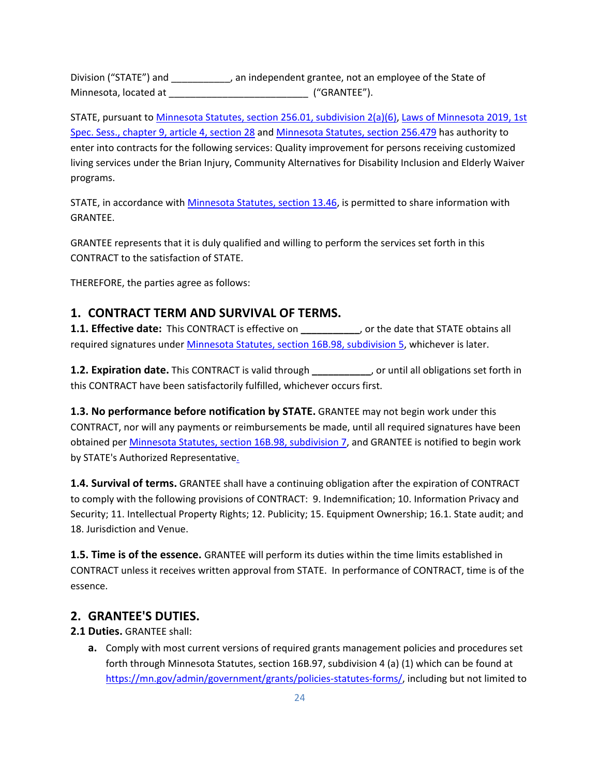Division ("STATE") and \_\_\_\_\_\_\_\_\_\_\_, an independent grantee, not an employee of the State of Minnesota, located at  $($ "GRANTEE").

STATE, pursuant to [Minnesota Statutes, section 256.01, subdivision 2\(a\)\(6\),](https://www.revisor.mn.gov/statutes/cite/256.01) [Laws of Minnesota 2019, 1st](https://www.revisor.mn.gov/laws/2019/1/Session+Law/Chapter/9/)  [Spec. Sess., chapter 9, article 4, section 28](https://www.revisor.mn.gov/laws/2019/1/Session+Law/Chapter/9/) and [Minnesota Statutes, section 256.479](https://www.revisor.mn.gov/statutes/cite/256.479) has authority to enter into contracts for the following services: Quality improvement for persons receiving customized living services under the Brian Injury, Community Alternatives for Disability Inclusion and Elderly Waiver programs.

STATE, in accordance with [Minnesota Statutes, section 13.46,](https://www.revisor.mn.gov/statutes/cite/13.46) is permitted to share information with GRANTEE.

GRANTEE represents that it is duly qualified and willing to perform the services set forth in this CONTRACT to the satisfaction of STATE.

THEREFORE, the parties agree as follows:

### **1. CONTRACT TERM AND SURVIVAL OF TERMS.**

**1.1. Effective date:** This CONTRACT is effective on **\_\_\_\_\_\_\_\_\_\_\_**, or the date that STATE obtains all required signatures unde[r Minnesota Statutes, section 16B.98, subdivision 5,](https://www.revisor.mn.gov/statutes/cite/16B.98) whichever is later.

**1.2. Expiration date.** This CONTRACT is valid through **\_\_\_\_\_\_\_\_\_\_\_**, or until all obligations set forth in this CONTRACT have been satisfactorily fulfilled, whichever occurs first.

**1.3. No performance before notification by STATE.** GRANTEE may not begin work under this CONTRACT, nor will any payments or reimbursements be made, until all required signatures have been obtained per [Minnesota Statutes, section 16B.98, subdivision](https://www.revisor.mn.gov/statutes/cite/16B.98) 7, and GRANTEE is notified to begin work by STATE's Authorized Representativ[e.](https://www.revisor.mn.gov/statutes/?id=16b.98)

**1.4. Survival of terms.** GRANTEE shall have a continuing obligation after the expiration of CONTRACT to comply with the following provisions of CONTRACT: 9. Indemnification; 10. Information Privacy and Security; 11. Intellectual Property Rights; 12. Publicity; 15. Equipment Ownership; 16.1. State audit; and 18. Jurisdiction and Venue.

**1.5. Time is of the essence.** GRANTEE will perform its duties within the time limits established in CONTRACT unless it receives written approval from STATE. In performance of CONTRACT, time is of the essence.

### **2. GRANTEE'S DUTIES.**

**2.1 Duties.** GRANTEE shall:

**a.** Comply with most current versions of required grants management policies and procedures set forth through Minnesota Statutes, section 16B.97, subdivision 4 (a) (1) which can be found at [https://mn.gov/admin/government/grants/policies-statutes-forms/,](https://mn.gov/admin/government/grants/policies-statutes-forms/) including but not limited to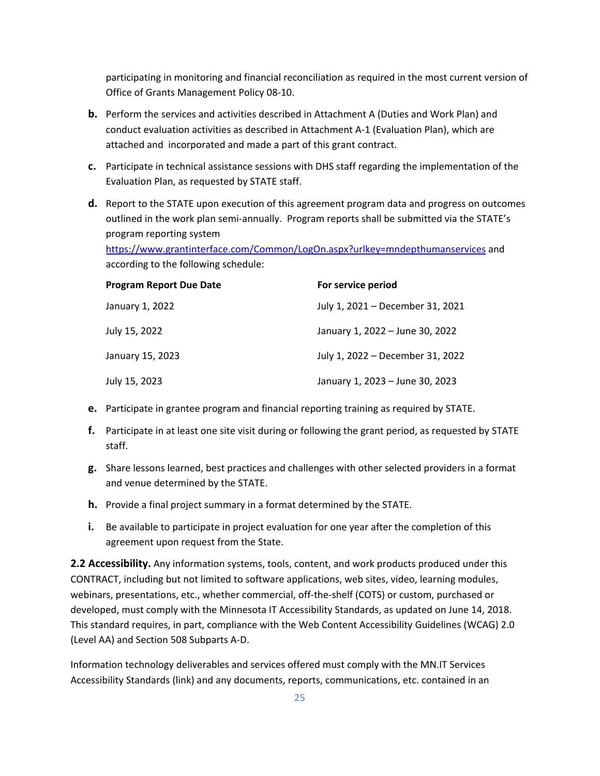participating in monitoring and financial reconciliation as required in the most current version of Office of Grants Management Policy 08-10.

- **b.** Perform the services and activities described in Attachment A (Duties and Work Plan) and conduct evaluation activities as described in Attachment A-1 (Evaluation Plan), which are attached and incorporated and made a part of this grant contract.
- **c.** Participate in technical assistance sessions with DHS staff regarding the implementation of the Evaluation Plan, as requested by STATE staff.
- **d.** Report to the STATE upon execution of this agreement program data and progress on outcomes outlined in the work plan semi-annually. Program reports shall be submitted via the STATE's program reporting system

<https://www.grantinterface.com/Common/LogOn.aspx?urlkey=mndepthumanservices> and according to the following schedule:

| <b>Program Report Due Date</b> | For service period               |
|--------------------------------|----------------------------------|
| January 1, 2022                | July 1, 2021 – December 31, 2021 |
| July 15, 2022                  | January 1, 2022 - June 30, 2022  |
| January 15, 2023               | July 1, 2022 - December 31, 2022 |
| July 15, 2023                  | January 1, 2023 - June 30, 2023  |

- **e.** Participate in grantee program and financial reporting training as required by STATE.
- **f.** Participate in at least one site visit during or following the grant period, as requested by STATE staff.
- **g.** Share lessons learned, best practices and challenges with other selected providers in a format and venue determined by the STATE.
- **h.** Provide a final project summary in a format determined by the STATE.
- **i.** Be available to participate in project evaluation for one year after the completion of this agreement upon request from the State.

**2.2 Accessibility.** Any information systems, tools, content, and work products produced under this CONTRACT, including but not limited to software applications, web sites, video, learning modules, webinars, presentations, etc., whether commercial, off-the-shelf (COTS) or custom, purchased or developed, must comply with the Minnesota IT Accessibility Standards, as updated on June 14, 2018. This standard requires, in part, compliance with the Web Content Accessibility Guidelines (WCAG) 2.0 (Level AA) and Section 508 Subparts A-D.

Information technology deliverables and services offered must comply with the MN.IT Services Accessibility Standards (link) and any documents, reports, communications, etc. contained in an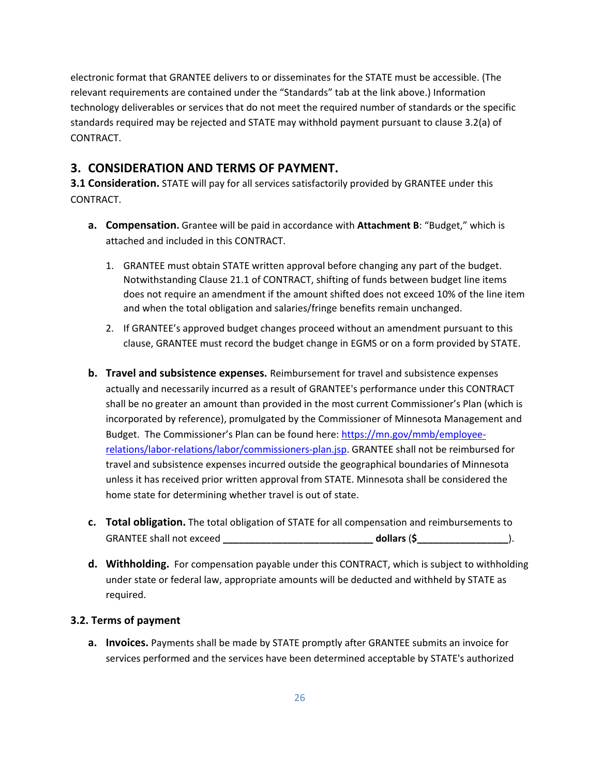electronic format that GRANTEE delivers to or disseminates for the STATE must be accessible. (The relevant requirements are contained under the "Standards" tab at the link above.) Information technology deliverables or services that do not meet the required number of standards or the specific standards required may be rejected and STATE may withhold payment pursuant to clause 3.2(a) of CONTRACT.

# **3. CONSIDERATION AND TERMS OF PAYMENT.**

**3.1 Consideration.** STATE will pay for all services satisfactorily provided by GRANTEE under this CONTRACT.

- **a. Compensation.** Grantee will be paid in accordance with **Attachment B**: "Budget," which is attached and included in this CONTRACT.
	- 1. GRANTEE must obtain STATE written approval before changing any part of the budget. Notwithstanding Clause 21.1 of CONTRACT, shifting of funds between budget line items does not require an amendment if the amount shifted does not exceed 10% of the line item and when the total obligation and salaries/fringe benefits remain unchanged.
	- 2. If GRANTEE's approved budget changes proceed without an amendment pursuant to this clause, GRANTEE must record the budget change in EGMS or on a form provided by STATE.
- **b. Travel and subsistence expenses.** Reimbursement for travel and subsistence expenses actually and necessarily incurred as a result of GRANTEE's performance under this CONTRACT shall be no greater an amount than provided in the most current Commissioner's Plan (which is incorporated by reference), promulgated by the Commissioner of Minnesota Management and Budget. The Commissioner's Plan can be found here[: https://mn.gov/mmb/employee](https://mn.gov/mmb/employee-relations/labor-relations/labor/commissioners-plan.jsp)[relations/labor-relations/labor/commissioners-plan.jsp.](https://mn.gov/mmb/employee-relations/labor-relations/labor/commissioners-plan.jsp) GRANTEE shall not be reimbursed for travel and subsistence expenses incurred outside the geographical boundaries of Minnesota unless it has received prior written approval from STATE. Minnesota shall be considered the home state for determining whether travel is out of state.
- **c. Total obligation.** The total obligation of STATE for all compensation and reimbursements to GRANTEE shall not exceed **\_\_\_\_\_\_\_\_\_\_\_\_\_\_\_\_\_\_\_\_\_\_\_\_\_\_\_\_ dollars** (**\$\_\_\_\_\_\_\_\_\_\_\_\_\_\_\_\_\_**).
- **d. Withholding.** For compensation payable under this CONTRACT, which is subject to withholding under state or federal law, appropriate amounts will be deducted and withheld by STATE as required.

### **3.2. Terms of payment**

**a. Invoices.** Payments shall be made by STATE promptly after GRANTEE submits an invoice for services performed and the services have been determined acceptable by STATE's authorized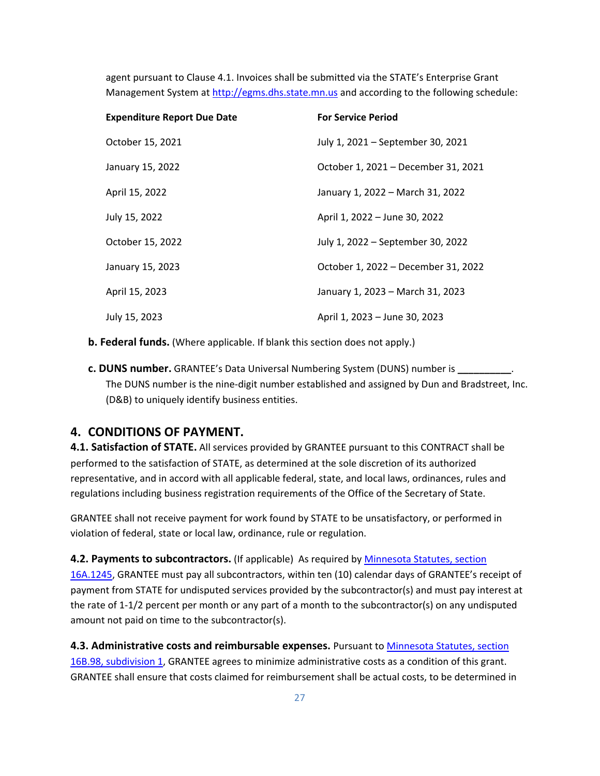agent pursuant to Clause 4.1. Invoices shall be submitted via the STATE's Enterprise Grant Management System at [http://egms.dhs.state.mn.us](http://egms.dhs.state.mn.us/) and according to the following schedule:

| <b>Expenditure Report Due Date</b> | <b>For Service Period</b>           |
|------------------------------------|-------------------------------------|
| October 15, 2021                   | July 1, 2021 – September 30, 2021   |
| January 15, 2022                   | October 1, 2021 - December 31, 2021 |
| April 15, 2022                     | January 1, 2022 - March 31, 2022    |
| July 15, 2022                      | April 1, 2022 – June 30, 2022       |
| October 15, 2022                   | July 1, 2022 – September 30, 2022   |
| January 15, 2023                   | October 1, 2022 - December 31, 2022 |
| April 15, 2023                     | January 1, 2023 - March 31, 2023    |
| July 15, 2023                      | April 1, 2023 – June 30, 2023       |

**b. Federal funds.** (Where applicable. If blank this section does not apply.)

**c. DUNS number.** GRANTEE's Data Universal Numbering System (DUNS) number is **\_\_\_\_\_\_\_\_\_\_**. The DUNS number is the nine-digit number established and assigned by Dun and Bradstreet, Inc. (D&B) to uniquely identify business entities.

### **4. CONDITIONS OF PAYMENT.**

**4.1. Satisfaction of STATE.** All services provided by GRANTEE pursuant to this CONTRACT shall be performed to the satisfaction of STATE, as determined at the sole discretion of its authorized representative, and in accord with all applicable federal, state, and local laws, ordinances, rules and regulations including business registration requirements of the Office of the Secretary of State.

GRANTEE shall not receive payment for work found by STATE to be unsatisfactory, or performed in violation of federal, state or local law, ordinance, rule or regulation.

**4.2. Payments to subcontractors.** (If applicable) As required by [Minnesota Statutes, section](https://www.revisor.mn.gov/statutes/cite/16A.1245)  [16A.1245,](https://www.revisor.mn.gov/statutes/cite/16A.1245) GRANTEE must pay all subcontractors, within ten (10) calendar days of GRANTEE's receipt of payment from STATE for undisputed services provided by the subcontractor(s) and must pay interest at the rate of 1-1/2 percent per month or any part of a month to the subcontractor(s) on any undisputed amount not paid on time to the subcontractor(s).

**4.3. Administrative costs and reimbursable expenses.** Pursuant to [Minnesota Statutes, section](https://www.revisor.mn.gov/statutes/cite/16B.98)  [16B.98, subdivision](https://www.revisor.mn.gov/statutes/cite/16B.98) 1, GRANTEE agrees to minimize administrative costs as a condition of this grant. GRANTEE shall ensure that costs claimed for reimbursement shall be actual costs, to be determined in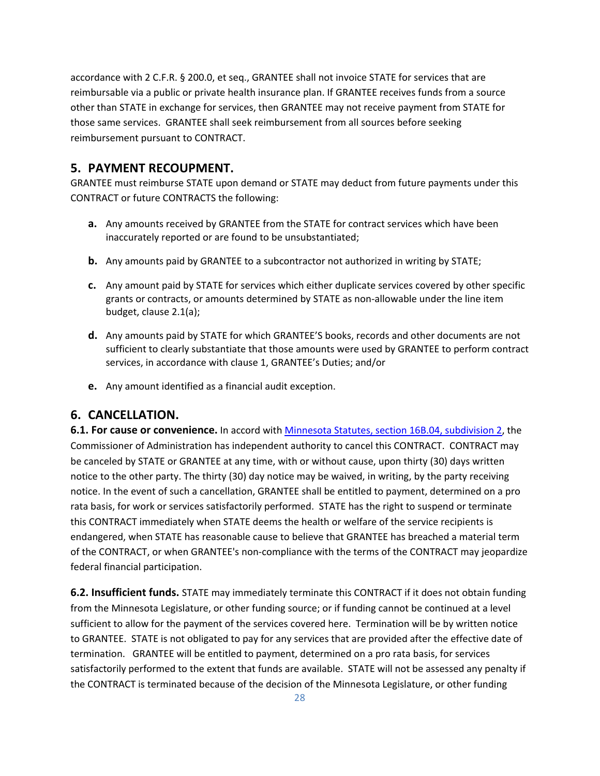accordance with 2 C.F.R. § 200.0, et seq., GRANTEE shall not invoice STATE for services that are reimbursable via a public or private health insurance plan. If GRANTEE receives funds from a source other than STATE in exchange for services, then GRANTEE may not receive payment from STATE for those same services. GRANTEE shall seek reimbursement from all sources before seeking reimbursement pursuant to CONTRACT.

### **5. PAYMENT RECOUPMENT.**

GRANTEE must reimburse STATE upon demand or STATE may deduct from future payments under this CONTRACT or future CONTRACTS the following:

- **a.** Any amounts received by GRANTEE from the STATE for contract services which have been inaccurately reported or are found to be unsubstantiated;
- **b.** Any amounts paid by GRANTEE to a subcontractor not authorized in writing by STATE;
- **c.** Any amount paid by STATE for services which either duplicate services covered by other specific grants or contracts, or amounts determined by STATE as non-allowable under the line item budget, clause 2.1(a);
- **d.** Any amounts paid by STATE for which GRANTEE'S books, records and other documents are not sufficient to clearly substantiate that those amounts were used by GRANTEE to perform contract services, in accordance with clause 1, GRANTEE's Duties; and/or
- **e.** Any amount identified as a financial audit exception.

### **6. CANCELLATION.**

**6.1. For cause or convenience.** In accord wit[h Minnesota Statutes, section 16B.04, subdivision](https://www.revisor.mn.gov/statutes/cite/16B.04) 2, the Commissioner of Administration has independent authority to cancel this CONTRACT. CONTRACT may be canceled by STATE or GRANTEE at any time, with or without cause, upon thirty (30) days written notice to the other party. The thirty (30) day notice may be waived, in writing, by the party receiving notice. In the event of such a cancellation, GRANTEE shall be entitled to payment, determined on a pro rata basis, for work or services satisfactorily performed. STATE has the right to suspend or terminate this CONTRACT immediately when STATE deems the health or welfare of the service recipients is endangered, when STATE has reasonable cause to believe that GRANTEE has breached a material term of the CONTRACT, or when GRANTEE's non-compliance with the terms of the CONTRACT may jeopardize federal financial participation.

**6.2. Insufficient funds.** STATE may immediately terminate this CONTRACT if it does not obtain funding from the Minnesota Legislature, or other funding source; or if funding cannot be continued at a level sufficient to allow for the payment of the services covered here. Termination will be by written notice to GRANTEE. STATE is not obligated to pay for any services that are provided after the effective date of termination. GRANTEE will be entitled to payment, determined on a pro rata basis, for services satisfactorily performed to the extent that funds are available. STATE will not be assessed any penalty if the CONTRACT is terminated because of the decision of the Minnesota Legislature, or other funding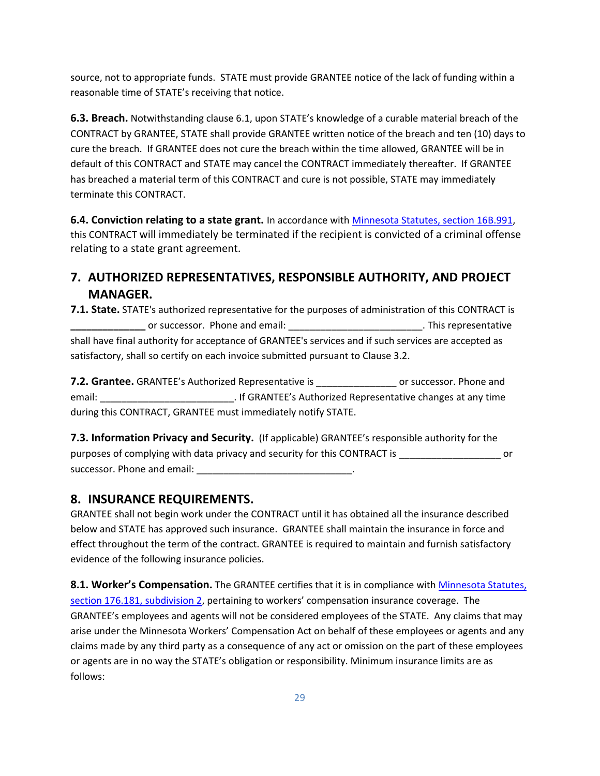source, not to appropriate funds. STATE must provide GRANTEE notice of the lack of funding within a reasonable time of STATE's receiving that notice.

**6.3. Breach.** Notwithstanding clause 6.1, upon STATE's knowledge of a curable material breach of the CONTRACT by GRANTEE, STATE shall provide GRANTEE written notice of the breach and ten (10) days to cure the breach. If GRANTEE does not cure the breach within the time allowed, GRANTEE will be in default of this CONTRACT and STATE may cancel the CONTRACT immediately thereafter. If GRANTEE has breached a material term of this CONTRACT and cure is not possible, STATE may immediately terminate this CONTRACT.

**6.4. Conviction relating to a state grant.** In accordance with [Minnesota Statutes, section 16B.991,](https://www.revisor.mn.gov/statutes/cite/16B.991) this CONTRACT will immediately be terminated if the recipient is convicted of a criminal offense relating to a state grant agreement.

# **7. AUTHORIZED REPRESENTATIVES, RESPONSIBLE AUTHORITY, AND PROJECT MANAGER.**

**7.1. State.** STATE's authorized representative for the purposes of administration of this CONTRACT is **\_\_\_\_\_\_\_\_\_\_\_\_\_\_** or successor. Phone and email: \_\_\_\_\_\_\_\_\_\_\_\_\_\_\_\_\_\_\_\_\_\_\_\_\_. This representative shall have final authority for acceptance of GRANTEE's services and if such services are accepted as satisfactory, shall so certify on each invoice submitted pursuant to Clause 3.2.

**7.2. Grantee.** GRANTEE's Authorized Representative is \_\_\_\_\_\_\_\_\_\_\_\_\_\_\_ or successor. Phone and email: email: email: email: email: email: email: email: entricorresentative changes at any time during this CONTRACT, GRANTEE must immediately notify STATE.

**7.3. Information Privacy and Security.** (If applicable) GRANTEE's responsible authority for the purposes of complying with data privacy and security for this CONTRACT is \_\_\_\_\_\_\_\_\_\_\_\_\_\_\_\_\_\_\_ or successor. Phone and email: \_\_\_\_\_\_\_\_\_\_\_\_\_\_\_\_\_\_\_\_\_\_\_\_\_\_\_\_\_.

# **8. INSURANCE REQUIREMENTS.**

GRANTEE shall not begin work under the CONTRACT until it has obtained all the insurance described below and STATE has approved such insurance. GRANTEE shall maintain the insurance in force and effect throughout the term of the contract. GRANTEE is required to maintain and furnish satisfactory evidence of the following insurance policies.

**8.1. Worker's Compensation.** The GRANTEE certifies that it is in compliance wit[h Minnesota Statutes,](https://www.revisor.mn.gov/statutes/cite/176.181)  [section 176.181, subdivision](https://www.revisor.mn.gov/statutes/cite/176.181) 2, pertaining to workers' compensation insurance coverage. The GRANTEE's employees and agents will not be considered employees of the STATE. Any claims that may arise under the Minnesota Workers' Compensation Act on behalf of these employees or agents and any claims made by any third party as a consequence of any act or omission on the part of these employees or agents are in no way the STATE's obligation or responsibility. Minimum insurance limits are as follows: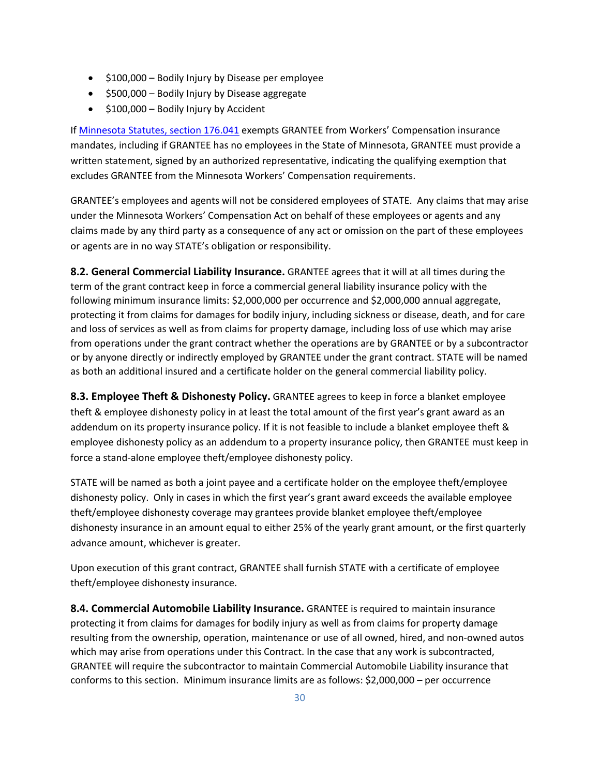- \$100,000 Bodily Injury by Disease per employee
- \$500,000 Bodily Injury by Disease aggregate
- \$100,000 Bodily Injury by Accident

I[f Minnesota Statutes, section 176.041](https://www.revisor.mn.gov/statutes/cite/176.041) exempts GRANTEE from Workers' Compensation insurance mandates, including if GRANTEE has no employees in the State of Minnesota, GRANTEE must provide a written statement, signed by an authorized representative, indicating the qualifying exemption that excludes GRANTEE from the Minnesota Workers' Compensation requirements.

GRANTEE's employees and agents will not be considered employees of STATE. Any claims that may arise under the Minnesota Workers' Compensation Act on behalf of these employees or agents and any claims made by any third party as a consequence of any act or omission on the part of these employees or agents are in no way STATE's obligation or responsibility.

**8.2. General Commercial Liability Insurance.** GRANTEE agrees that it will at all times during the term of the grant contract keep in force a commercial general liability insurance policy with the following minimum insurance limits: \$2,000,000 per occurrence and \$2,000,000 annual aggregate, protecting it from claims for damages for bodily injury, including sickness or disease, death, and for care and loss of services as well as from claims for property damage, including loss of use which may arise from operations under the grant contract whether the operations are by GRANTEE or by a subcontractor or by anyone directly or indirectly employed by GRANTEE under the grant contract. STATE will be named as both an additional insured and a certificate holder on the general commercial liability policy.

**8.3. Employee Theft & Dishonesty Policy.** GRANTEE agrees to keep in force a blanket employee theft & employee dishonesty policy in at least the total amount of the first year's grant award as an addendum on its property insurance policy. If it is not feasible to include a blanket employee theft & employee dishonesty policy as an addendum to a property insurance policy, then GRANTEE must keep in force a stand-alone employee theft/employee dishonesty policy.

STATE will be named as both a joint payee and a certificate holder on the employee theft/employee dishonesty policy. Only in cases in which the first year's grant award exceeds the available employee theft/employee dishonesty coverage may grantees provide blanket employee theft/employee dishonesty insurance in an amount equal to either 25% of the yearly grant amount, or the first quarterly advance amount, whichever is greater.

Upon execution of this grant contract, GRANTEE shall furnish STATE with a certificate of employee theft/employee dishonesty insurance.

**8.4. Commercial Automobile Liability Insurance.** GRANTEE is required to maintain insurance protecting it from claims for damages for bodily injury as well as from claims for property damage resulting from the ownership, operation, maintenance or use of all owned, hired, and non-owned autos which may arise from operations under this Contract. In the case that any work is subcontracted, GRANTEE will require the subcontractor to maintain Commercial Automobile Liability insurance that conforms to this section. Minimum insurance limits are as follows: \$2,000,000 – per occurrence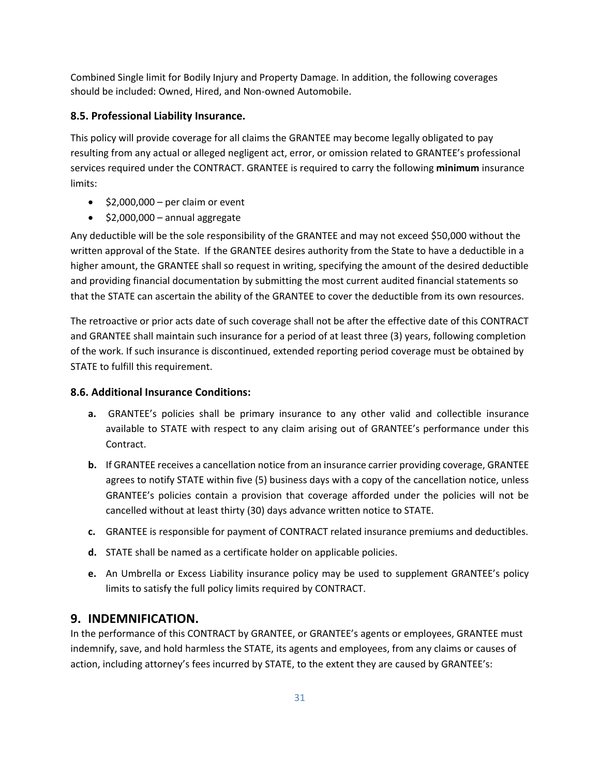Combined Single limit for Bodily Injury and Property Damage. In addition, the following coverages should be included: Owned, Hired, and Non-owned Automobile.

### **8.5. Professional Liability Insurance.**

This policy will provide coverage for all claims the GRANTEE may become legally obligated to pay resulting from any actual or alleged negligent act, error, or omission related to GRANTEE's professional services required under the CONTRACT. GRANTEE is required to carry the following **minimum** insurance limits:

- $\bullet$  \$2,000,000 per claim or event
- \$2,000,000 annual aggregate

Any deductible will be the sole responsibility of the GRANTEE and may not exceed \$50,000 without the written approval of the State. If the GRANTEE desires authority from the State to have a deductible in a higher amount, the GRANTEE shall so request in writing, specifying the amount of the desired deductible and providing financial documentation by submitting the most current audited financial statements so that the STATE can ascertain the ability of the GRANTEE to cover the deductible from its own resources.

The retroactive or prior acts date of such coverage shall not be after the effective date of this CONTRACT and GRANTEE shall maintain such insurance for a period of at least three (3) years, following completion of the work. If such insurance is discontinued, extended reporting period coverage must be obtained by STATE to fulfill this requirement.

### **8.6. Additional Insurance Conditions:**

- **a.** GRANTEE's policies shall be primary insurance to any other valid and collectible insurance available to STATE with respect to any claim arising out of GRANTEE's performance under this Contract.
- **b.** If GRANTEE receives a cancellation notice from an insurance carrier providing coverage, GRANTEE agrees to notify STATE within five (5) business days with a copy of the cancellation notice, unless GRANTEE's policies contain a provision that coverage afforded under the policies will not be cancelled without at least thirty (30) days advance written notice to STATE.
- **c.** GRANTEE is responsible for payment of CONTRACT related insurance premiums and deductibles.
- **d.** STATE shall be named as a certificate holder on applicable policies.
- **e.** An Umbrella or Excess Liability insurance policy may be used to supplement GRANTEE's policy limits to satisfy the full policy limits required by CONTRACT.

# **9. INDEMNIFICATION.**

In the performance of this CONTRACT by GRANTEE, or GRANTEE's agents or employees, GRANTEE must indemnify, save, and hold harmless the STATE, its agents and employees, from any claims or causes of action, including attorney's fees incurred by STATE, to the extent they are caused by GRANTEE's: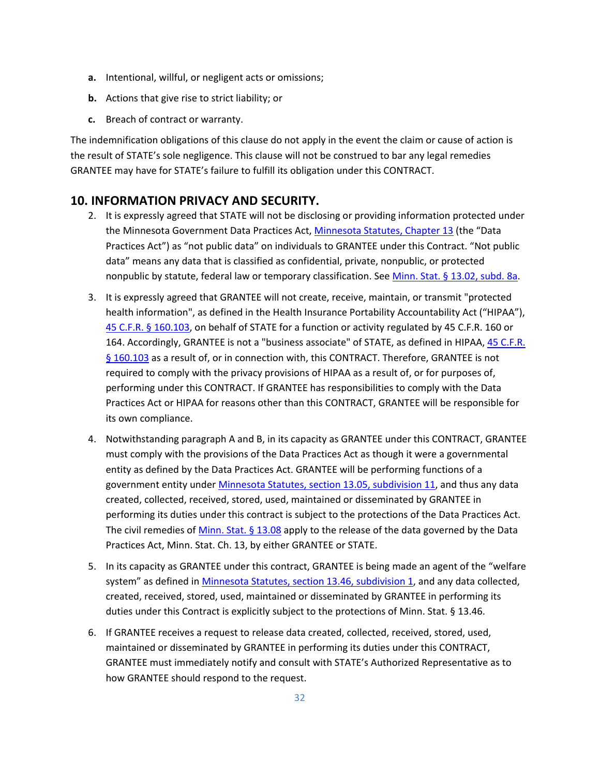- **a.** Intentional, willful, or negligent acts or omissions;
- **b.** Actions that give rise to strict liability; or
- **c.** Breach of contract or warranty.

The indemnification obligations of this clause do not apply in the event the claim or cause of action is the result of STATE's sole negligence. This clause will not be construed to bar any legal remedies GRANTEE may have for STATE's failure to fulfill its obligation under this CONTRACT.

### **10. INFORMATION PRIVACY AND SECURITY.**

- 2. It is expressly agreed that STATE will not be disclosing or providing information protected under the Minnesota Government Data Practices Act, [Minnesota Statutes, Chapter 13](https://www.revisor.mn.gov/statutes/cite/13) (the "Data Practices Act") as "not public data" on individuals to GRANTEE under this Contract. "Not public data" means any data that is classified as confidential, private, nonpublic, or protected nonpublic by statute, federal law or temporary classification. See [Minn. Stat. § 13.02, subd. 8a.](https://www.revisor.mn.gov/statutes/cite/13.02)
- 3. It is expressly agreed that GRANTEE will not create, receive, maintain, or transmit "protected health information", as defined in the Health Insurance Portability Accountability Act ("HIPAA"), 45 C.F.R. § 160.103, on behalf of STATE for a function or activity regulated by 45 C.F.R. 160 or 164. Accordingly, GRANTEE is not a "business associate" of STATE, as defined in HIPAA[, 45 C.F.R.](https://www.law.cornell.edu/cfr/text/45/160.103)  [§ 160.103](https://www.law.cornell.edu/cfr/text/45/160.103) as a result of, or in connection with, this CONTRACT. Therefore, GRANTEE is not required to comply with the privacy provisions of HIPAA as a result of, or for purposes of, performing under this CONTRACT. If GRANTEE has responsibilities to comply with the Data Practices Act or HIPAA for reasons other than this CONTRACT, GRANTEE will be responsible for its own compliance.
- 4. Notwithstanding paragraph A and B, in its capacity as GRANTEE under this CONTRACT, GRANTEE must comply with the provisions of the Data Practices Act as though it were a governmental entity as defined by the Data Practices Act. GRANTEE will be performing functions of a government entity under [Minnesota Statutes, section 13.05, subdivision](https://www.revisor.mn.gov/statutes/cite/13.05) 11, and thus any data created, collected, received, stored, used, maintained or disseminated by GRANTEE in performing its duties under this contract is subject to the protections of the Data Practices Act. The civil remedies of Minn. Stat.  $\S$  13.08 apply to the release of the data governed by the Data Practices Act, Minn. Stat. Ch. 13, by either GRANTEE or STATE.
- 5. In its capacity as GRANTEE under this contract, GRANTEE is being made an agent of the "welfare system" as defined in [Minnesota Statutes, section 13.46, subdivision](https://www.revisor.mn.gov/statutes/?id=13.46) 1, and any data collected, created, received, stored, used, maintained or disseminated by GRANTEE in performing its duties under this Contract is explicitly subject to the protections of Minn. Stat. § 13.46.
- 6. If GRANTEE receives a request to release data created, collected, received, stored, used, maintained or disseminated by GRANTEE in performing its duties under this CONTRACT, GRANTEE must immediately notify and consult with STATE's Authorized Representative as to how GRANTEE should respond to the request.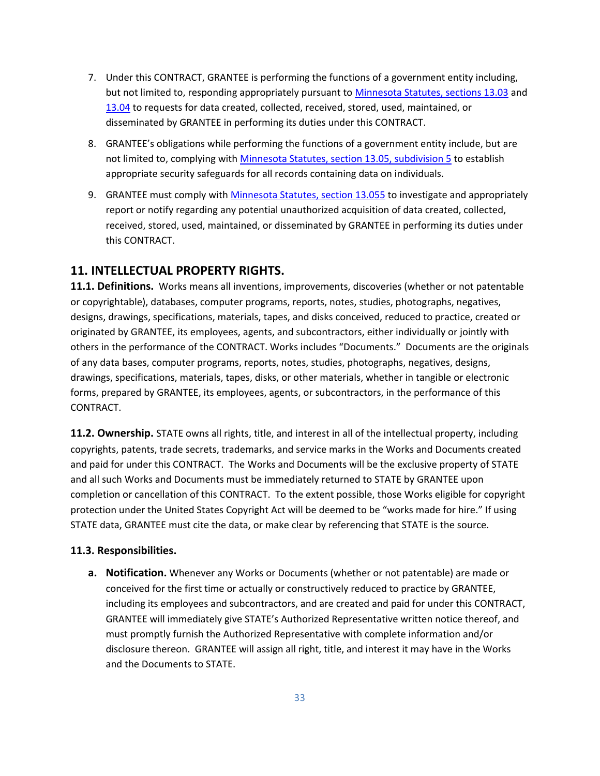- 7. Under this CONTRACT, GRANTEE is performing the functions of a government entity including, but not limited to, responding appropriately pursuant to [Minnesota Statutes, sections](https://www.revisor.mn.gov/statutes/cite/13.03) 13.03 and [13.04](https://www.revisor.mn.gov/statutes/?id=13.04) to requests for data created, collected, received, stored, used, maintained, or disseminated by GRANTEE in performing its duties under this CONTRACT.
- 8. GRANTEE's obligations while performing the functions of a government entity include, but are not limited to, complying with [Minnesota Statutes, section 13.05, subdivision](https://www.revisor.mn.gov/statutes/cite/13.05) 5 to establish appropriate security safeguards for all records containing data on individuals.
- 9. GRANTEE must comply with [Minnesota Statutes, section 13.055](https://www.revisor.mn.gov/statutes/?id=13.055) to investigate and appropriately report or notify regarding any potential unauthorized acquisition of data created, collected, received, stored, used, maintained, or disseminated by GRANTEE in performing its duties under this CONTRACT.

### **11. INTELLECTUAL PROPERTY RIGHTS.**

**11.1. Definitions.** Works means all inventions, improvements, discoveries (whether or not patentable or copyrightable), databases, computer programs, reports, notes, studies, photographs, negatives, designs, drawings, specifications, materials, tapes, and disks conceived, reduced to practice, created or originated by GRANTEE, its employees, agents, and subcontractors, either individually or jointly with others in the performance of the CONTRACT. Works includes "Documents." Documents are the originals of any data bases, computer programs, reports, notes, studies, photographs, negatives, designs, drawings, specifications, materials, tapes, disks, or other materials, whether in tangible or electronic forms, prepared by GRANTEE, its employees, agents, or subcontractors, in the performance of this CONTRACT.

**11.2. Ownership.** STATE owns all rights, title, and interest in all of the intellectual property, including copyrights, patents, trade secrets, trademarks, and service marks in the Works and Documents created and paid for under this CONTRACT. The Works and Documents will be the exclusive property of STATE and all such Works and Documents must be immediately returned to STATE by GRANTEE upon completion or cancellation of this CONTRACT. To the extent possible, those Works eligible for copyright protection under the United States Copyright Act will be deemed to be "works made for hire." If using STATE data, GRANTEE must cite the data, or make clear by referencing that STATE is the source.

### **11.3. Responsibilities.**

**a. Notification.** Whenever any Works or Documents (whether or not patentable) are made or conceived for the first time or actually or constructively reduced to practice by GRANTEE, including its employees and subcontractors, and are created and paid for under this CONTRACT, GRANTEE will immediately give STATE's Authorized Representative written notice thereof, and must promptly furnish the Authorized Representative with complete information and/or disclosure thereon. GRANTEE will assign all right, title, and interest it may have in the Works and the Documents to STATE.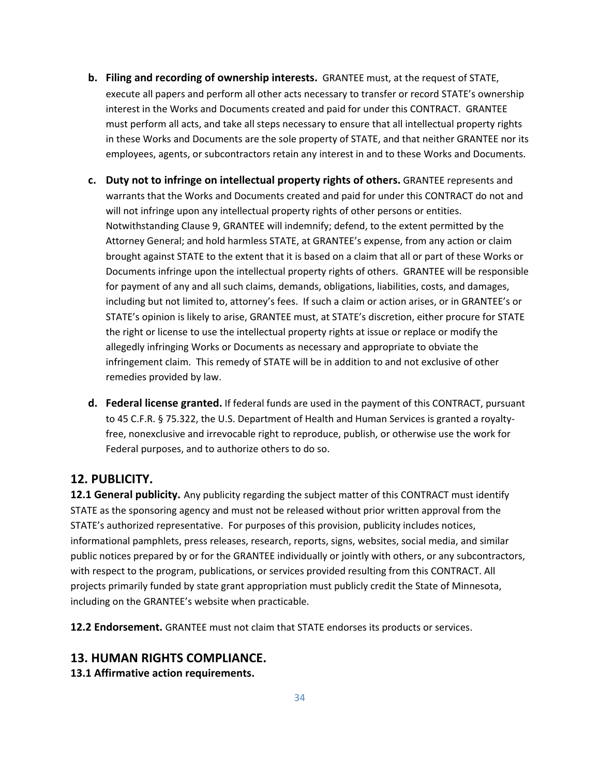- **b. Filing and recording of ownership interests.** GRANTEE must, at the request of STATE, execute all papers and perform all other acts necessary to transfer or record STATE's ownership interest in the Works and Documents created and paid for under this CONTRACT. GRANTEE must perform all acts, and take all steps necessary to ensure that all intellectual property rights in these Works and Documents are the sole property of STATE, and that neither GRANTEE nor its employees, agents, or subcontractors retain any interest in and to these Works and Documents.
- **c. Duty not to infringe on intellectual property rights of others.** GRANTEE represents and warrants that the Works and Documents created and paid for under this CONTRACT do not and will not infringe upon any intellectual property rights of other persons or entities. Notwithstanding Clause 9, GRANTEE will indemnify; defend, to the extent permitted by the Attorney General; and hold harmless STATE, at GRANTEE's expense, from any action or claim brought against STATE to the extent that it is based on a claim that all or part of these Works or Documents infringe upon the intellectual property rights of others. GRANTEE will be responsible for payment of any and all such claims, demands, obligations, liabilities, costs, and damages, including but not limited to, attorney's fees. If such a claim or action arises, or in GRANTEE's or STATE's opinion is likely to arise, GRANTEE must, at STATE's discretion, either procure for STATE the right or license to use the intellectual property rights at issue or replace or modify the allegedly infringing Works or Documents as necessary and appropriate to obviate the infringement claim. This remedy of STATE will be in addition to and not exclusive of other remedies provided by law.
- **d. Federal license granted.** If federal funds are used in the payment of this CONTRACT, pursuant to 45 C.F.R. § 75.322, the U.S. Department of Health and Human Services is granted a royaltyfree, nonexclusive and irrevocable right to reproduce, publish, or otherwise use the work for Federal purposes, and to authorize others to do so.

### **12. PUBLICITY.**

**12.1 General publicity.** Any publicity regarding the subject matter of this CONTRACT must identify STATE as the sponsoring agency and must not be released without prior written approval from the STATE's authorized representative. For purposes of this provision, publicity includes notices, informational pamphlets, press releases, research, reports, signs, websites, social media, and similar public notices prepared by or for the GRANTEE individually or jointly with others, or any subcontractors, with respect to the program, publications, or services provided resulting from this CONTRACT. All projects primarily funded by state grant appropriation must publicly credit the State of Minnesota, including on the GRANTEE's website when practicable.

**12.2 Endorsement.** GRANTEE must not claim that STATE endorses its products or services.

### **13. HUMAN RIGHTS COMPLIANCE.**

**13.1 Affirmative action requirements.**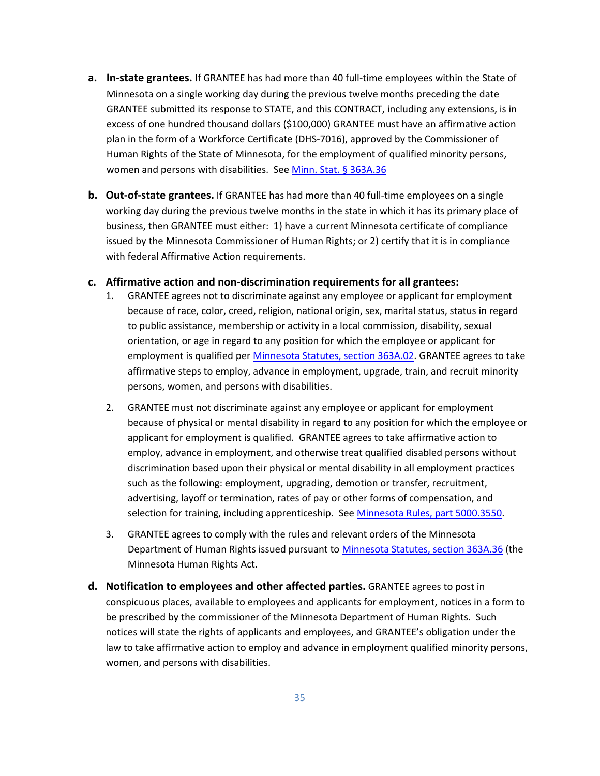- **a. In-state grantees.** If GRANTEE has had more than 40 full-time employees within the State of Minnesota on a single working day during the previous twelve months preceding the date GRANTEE submitted its response to STATE, and this CONTRACT, including any extensions, is in excess of one hundred thousand dollars (\$100,000) GRANTEE must have an affirmative action plan in the form of a Workforce Certificate (DHS-7016), approved by the Commissioner of Human Rights of the State of Minnesota, for the employment of qualified minority persons, women and persons with disabilities. See [Minn. Stat. § 363A.36](https://www.revisor.mn.gov/statutes/cite/363A.36)
- **b. Out-of-state grantees.** If GRANTEE has had more than 40 full-time employees on a single working day during the previous twelve months in the state in which it has its primary place of business, then GRANTEE must either: 1) have a current Minnesota certificate of compliance issued by the Minnesota Commissioner of Human Rights; or 2) certify that it is in compliance with federal Affirmative Action requirements.

### **c. Affirmative action and non-discrimination requirements for all grantees:**

- 1. GRANTEE agrees not to discriminate against any employee or applicant for employment because of race, color, creed, religion, national origin, sex, marital status, status in regard to public assistance, membership or activity in a local commission, disability, sexual orientation, or age in regard to any position for which the employee or applicant for employment is qualified per [Minnesota Statutes, section 363A.02.](https://www.revisor.mn.gov/statutes/cite/363A.02) GRANTEE agrees to take affirmative steps to employ, advance in employment, upgrade, train, and recruit minority persons, women, and persons with disabilities.
- 2. GRANTEE must not discriminate against any employee or applicant for employment because of physical or mental disability in regard to any position for which the employee or applicant for employment is qualified. GRANTEE agrees to take affirmative action to employ, advance in employment, and otherwise treat qualified disabled persons without discrimination based upon their physical or mental disability in all employment practices such as the following: employment, upgrading, demotion or transfer, recruitment, advertising, layoff or termination, rates of pay or other forms of compensation, and selection for training, including apprenticeship. See [Minnesota Rules, part 5000.3550.](https://www.revisor.mn.gov/rules/5000.3550/)
- 3. GRANTEE agrees to comply with the rules and relevant orders of the Minnesota Department of Human Rights issued pursuant to [Minnesota Statutes, section 363A.36](https://www.revisor.mn.gov/statutes/cite/363A.36) (the Minnesota Human Rights Act.
- **d. Notification to employees and other affected parties.** GRANTEE agrees to post in conspicuous places, available to employees and applicants for employment, notices in a form to be prescribed by the commissioner of the Minnesota Department of Human Rights. Such notices will state the rights of applicants and employees, and GRANTEE's obligation under the law to take affirmative action to employ and advance in employment qualified minority persons, women, and persons with disabilities.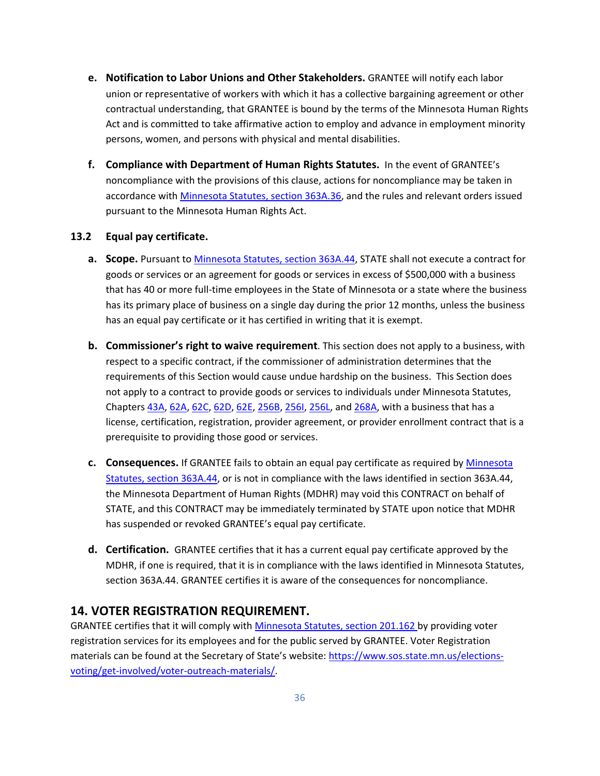- **e. Notification to Labor Unions and Other Stakeholders.** GRANTEE will notify each labor union or representative of workers with which it has a collective bargaining agreement or other contractual understanding, that GRANTEE is bound by the terms of the Minnesota Human Rights Act and is committed to take affirmative action to employ and advance in employment minority persons, women, and persons with physical and mental disabilities.
- **f. Compliance with Department of Human Rights Statutes.** In the event of GRANTEE's noncompliance with the provisions of this clause, actions for noncompliance may be taken in accordance with [Minnesota Statutes, section 363A.36,](https://www.revisor.mn.gov/statutes/cite/363A.36) and the rules and relevant orders issued pursuant to the Minnesota Human Rights Act.

### **13.2 Equal pay certificate.**

- **a. Scope.** Pursuant to [Minnesota Statutes, section 363A.44,](https://www.revisor.mn.gov/statutes/?id=363A.44) STATE shall not execute a contract for goods or services or an agreement for goods or services in excess of \$500,000 with a business that has 40 or more full-time employees in the State of Minnesota or a state where the business has its primary place of business on a single day during the prior 12 months, unless the business has an equal pay certificate or it has certified in writing that it is exempt.
- **b. Commissioner's right to waive requirement**. This section does not apply to a business, with respect to a specific contract, if the commissioner of administration determines that the requirements of this Section would cause undue hardship on the business. This Section does not apply to a contract to provide goods or services to individuals under Minnesota Statutes, Chapters [43A,](https://www.revisor.mn.gov/statutes/cite/43A) [62A,](https://www.revisor.mn.gov/statutes/cite/62A) [62C,](https://www.revisor.mn.gov/statutes/cite/62C) [62D,](https://www.revisor.mn.gov/statutes/cite/62D) [62E,](https://www.revisor.mn.gov/statutes/cite/62E) [256B,](https://www.revisor.mn.gov/statutes/cite/256B) [256I,](https://www.revisor.mn.gov/statutes/cite/256I) [256L,](https://www.revisor.mn.gov/statutes/cite/256L) an[d 268A,](https://www.revisor.mn.gov/statutes/cite/268A) with a business that has a license, certification, registration, provider agreement, or provider enrollment contract that is a prerequisite to providing those good or services.
- **c. Consequences.** If GRANTEE fails to obtain an equal pay certificate as required by [Minnesota](https://www.revisor.mn.gov/statutes/?id=363A.44)  [Statutes, section 363A.44,](https://www.revisor.mn.gov/statutes/?id=363A.44) or is not in compliance with the laws identified in section 363A.44, the Minnesota Department of Human Rights (MDHR) may void this CONTRACT on behalf of STATE, and this CONTRACT may be immediately terminated by STATE upon notice that MDHR has suspended or revoked GRANTEE's equal pay certificate.
- **d. Certification.** GRANTEE certifies that it has a current equal pay certificate approved by the MDHR, if one is required, that it is in compliance with the laws identified in Minnesota Statutes, section 363A.44. GRANTEE certifies it is aware of the consequences for noncompliance.

### **14. VOTER REGISTRATION REQUIREMENT.**

GRANTEE certifies that it will comply with [Minnesota Statutes, section 201.162](https://www.revisor.mn.gov/statutes/cite/201.162) by providing voter registration services for its employees and for the public served by GRANTEE. Voter Registration materials can be found at the Secretary of State's website[: https://www.sos.state.mn.us/elections](https://www.sos.state.mn.us/elections-voting/get-involved/voter-outreach-materials/)[voting/get-involved/voter-outreach-materials/.](https://www.sos.state.mn.us/elections-voting/get-involved/voter-outreach-materials/)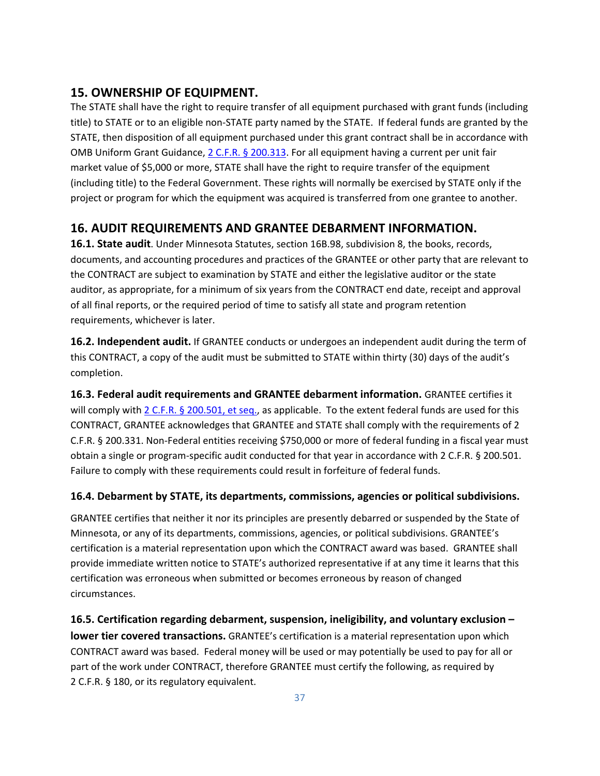# **15. OWNERSHIP OF EQUIPMENT.**

The STATE shall have the right to require transfer of all equipment purchased with grant funds (including title) to STATE or to an eligible non-STATE party named by the STATE. If federal funds are granted by the STATE, then disposition of all equipment purchased under this grant contract shall be in accordance with OMB Uniform Grant Guidance, 2 C.F.R. § 200.313. For all equipment having a current per unit fair market value of \$5,000 or more, STATE shall have the right to require transfer of the equipment (including title) to the Federal Government. These rights will normally be exercised by STATE only if the project or program for which the equipment was acquired is transferred from one grantee to another.

# **16. AUDIT REQUIREMENTS AND GRANTEE DEBARMENT INFORMATION.**

**16.1. State audit**. Unde[r Minnesota Statutes,](https://www.revisor.mn.gov/statutes/cite/16B.98) section 16B.98, subdivision 8, the books, records, documents, and accounting procedures and practices of the GRANTEE or other party that are relevant to the CONTRACT are subject to examination by STATE and either the legislative auditor or the state auditor, as appropriate, for a minimum of six years from the CONTRACT end date, receipt and approval of all final reports, or the required period of time to satisfy all state and program retention requirements, whichever is later.

**16.2. Independent audit.** If GRANTEE conducts or undergoes an independent audit during the term of this CONTRACT, a copy of the audit must be submitted to STATE within thirty (30) days of the audit's completion.

**16.3. Federal audit requirements and GRANTEE debarment information.** GRANTEE certifies it will comply with 2 C.F.R. § 200.501, et seq., as applicable. To the extent federal funds are used for this CONTRACT, GRANTEE acknowledges that GRANTEE and STATE shall comply with the requirements of 2 C.F.R. § 200.331. Non-Federal entities receiving \$750,000 or more of federal funding in a fiscal year must obtain a single or program-specific audit conducted for that year in accordance with 2 C.F.R. § 200.501. Failure to comply with these requirements could result in forfeiture of federal funds.

### **16.4. Debarment by STATE, its departments, commissions, agencies or political subdivisions.**

GRANTEE certifies that neither it nor its principles are presently debarred or suspended by the State of Minnesota, or any of its departments, commissions, agencies, or political subdivisions. GRANTEE's certification is a material representation upon which the CONTRACT award was based. GRANTEE shall provide immediate written notice to STATE's authorized representative if at any time it learns that this certification was erroneous when submitted or becomes erroneous by reason of changed circumstances.

**16.5. Certification regarding debarment, suspension, ineligibility, and voluntary exclusion – lower tier covered transactions.** GRANTEE's certification is a material representation upon which CONTRACT award was based. Federal money will be used or may potentially be used to pay for all or part of the work under CONTRACT, therefore GRANTEE must certify the following, as required by 2 C.F.R. § 180, or its regulatory equivalent.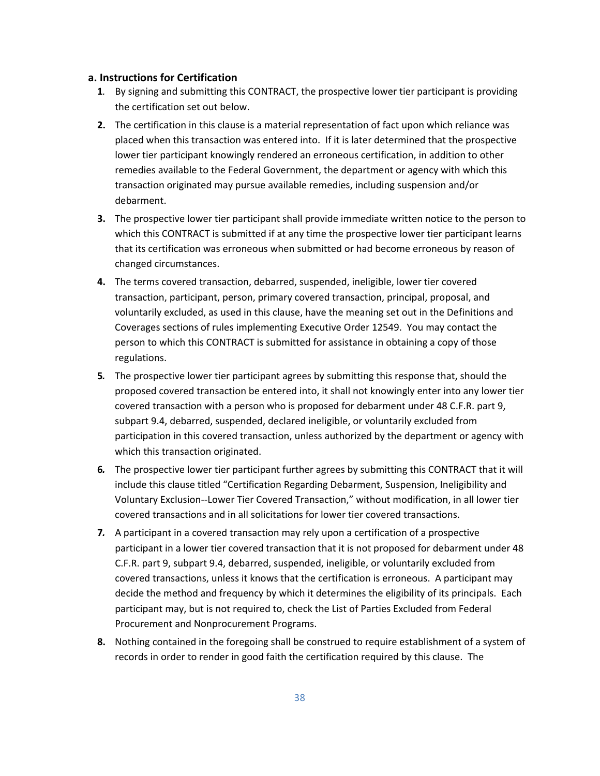### **a. Instructions for Certification**

- **1***.* By signing and submitting this CONTRACT, the prospective lower tier participant is providing the certification set out below.
- **2.** The certification in this clause is a material representation of fact upon which reliance was placed when this transaction was entered into. If it is later determined that the prospective lower tier participant knowingly rendered an erroneous certification, in addition to other remedies available to the Federal Government, the department or agency with which this transaction originated may pursue available remedies, including suspension and/or debarment.
- **3.** The prospective lower tier participant shall provide immediate written notice to the person to which this CONTRACT is submitted if at any time the prospective lower tier participant learns that its certification was erroneous when submitted or had become erroneous by reason of changed circumstances.
- **4.** The terms covered transaction, debarred, suspended, ineligible, lower tier covered transaction, participant, person, primary covered transaction, principal, proposal, and voluntarily excluded, as used in this clause, have the meaning set out in the Definitions and Coverages sections of rules implementing Executive Order 12549. You may contact the person to which this CONTRACT is submitted for assistance in obtaining a copy of those regulations.
- **5***.* The prospective lower tier participant agrees by submitting this response that, should the proposed covered transaction be entered into, it shall not knowingly enter into any lower tier covered transaction with a person who is proposed for debarment under 48 C.F.R. part 9, subpart 9.4, debarred, suspended, declared ineligible, or voluntarily excluded from participation in this covered transaction, unless authorized by the department or agency with which this transaction originated.
- **6***.* The prospective lower tier participant further agrees by submitting this CONTRACT that it will include this clause titled "Certification Regarding Debarment, Suspension, Ineligibility and Voluntary Exclusion--Lower Tier Covered Transaction," without modification, in all lower tier covered transactions and in all solicitations for lower tier covered transactions.
- **7***.* A participant in a covered transaction may rely upon a certification of a prospective participant in a lower tier covered transaction that it is not proposed for debarment under 48 C.F.R. part 9, subpart 9.4, debarred, suspended, ineligible, or voluntarily excluded from covered transactions, unless it knows that the certification is erroneous. A participant may decide the method and frequency by which it determines the eligibility of its principals. Each participant may, but is not required to, check the List of Parties Excluded from Federal Procurement and Nonprocurement Programs.
- **8.** Nothing contained in the foregoing shall be construed to require establishment of a system of records in order to render in good faith the certification required by this clause. The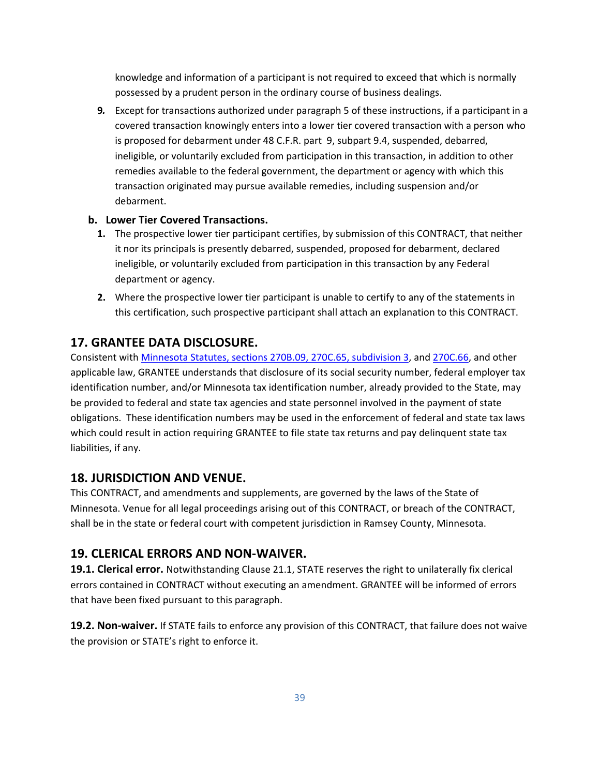knowledge and information of a participant is not required to exceed that which is normally possessed by a prudent person in the ordinary course of business dealings.

**9***.* Except for transactions authorized under paragraph 5 of these instructions, if a participant in a covered transaction knowingly enters into a lower tier covered transaction with a person who is proposed for debarment under 48 C.F.R. part 9, subpart 9.4, suspended, debarred, ineligible, or voluntarily excluded from participation in this transaction, in addition to other remedies available to the federal government, the department or agency with which this transaction originated may pursue available remedies, including suspension and/or debarment.

### **b. Lower Tier Covered Transactions.**

- **1.** The prospective lower tier participant certifies, by submission of this CONTRACT, that neither it nor its principals is presently debarred, suspended, proposed for debarment, declared ineligible, or voluntarily excluded from participation in this transaction by any Federal department or agency.
- **2.** Where the prospective lower tier participant is unable to certify to any of the statements in this certification, such prospective participant shall attach an explanation to this CONTRACT.

### **17. GRANTEE DATA DISCLOSURE.**

Consistent with [Minnesota Statutes, sections 270B.09,](https://www.revisor.mn.gov/statutes/cite/270B.09) [270C.65, subdivision](https://www.revisor.mn.gov/statutes/cite/270C.65) 3, and [270C.66,](https://www.revisor.mn.gov/statutes/cite/270C.66) and other applicable law, GRANTEE understands that disclosure of its social security number, federal employer tax identification number, and/or Minnesota tax identification number, already provided to the State, may be provided to federal and state tax agencies and state personnel involved in the payment of state obligations. These identification numbers may be used in the enforcement of federal and state tax laws which could result in action requiring GRANTEE to file state tax returns and pay delinquent state tax liabilities, if any.

### **18. JURISDICTION AND VENUE.**

This CONTRACT, and amendments and supplements, are governed by the laws of the State of Minnesota. Venue for all legal proceedings arising out of this CONTRACT, or breach of the CONTRACT, shall be in the state or federal court with competent jurisdiction in Ramsey County, Minnesota.

### **19. CLERICAL ERRORS AND NON-WAIVER.**

**19.1. Clerical error.** Notwithstanding Clause 21.1, STATE reserves the right to unilaterally fix clerical errors contained in CONTRACT without executing an amendment. GRANTEE will be informed of errors that have been fixed pursuant to this paragraph.

**19.2. Non-waiver.** If STATE fails to enforce any provision of this CONTRACT, that failure does not waive the provision or STATE's right to enforce it.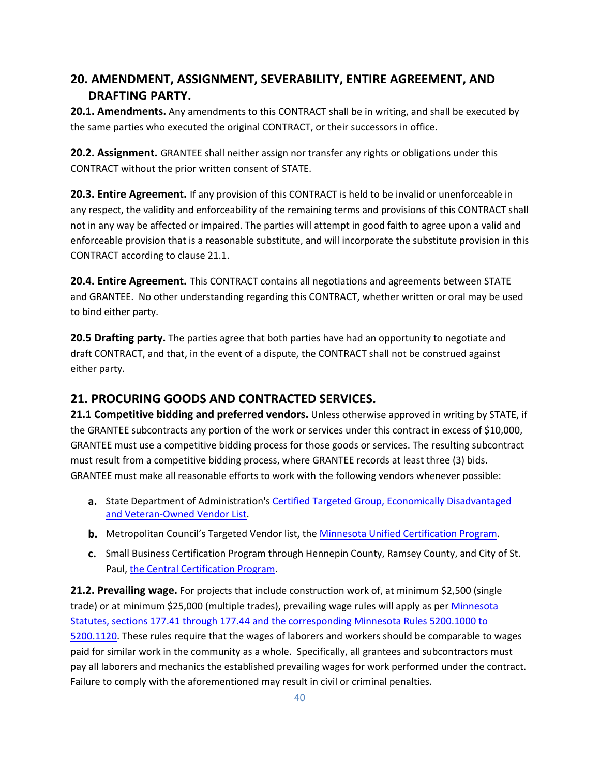# **20. AMENDMENT, ASSIGNMENT, SEVERABILITY, ENTIRE AGREEMENT, AND DRAFTING PARTY.**

**20.1. Amendments.** Any amendments to this CONTRACT shall be in writing, and shall be executed by the same parties who executed the original CONTRACT, or their successors in office.

**20.2. Assignment.** GRANTEE shall neither assign nor transfer any rights or obligations under this CONTRACT without the prior written consent of STATE.

**20.3. Entire Agreement.** If any provision of this CONTRACT is held to be invalid or unenforceable in any respect, the validity and enforceability of the remaining terms and provisions of this CONTRACT shall not in any way be affected or impaired. The parties will attempt in good faith to agree upon a valid and enforceable provision that is a reasonable substitute, and will incorporate the substitute provision in this CONTRACT according to clause 21.1.

**20.4. Entire Agreement.** This CONTRACT contains all negotiations and agreements between STATE and GRANTEE. No other understanding regarding this CONTRACT, whether written or oral may be used to bind either party.

**20.5 Drafting party.** The parties agree that both parties have had an opportunity to negotiate and draft CONTRACT, and that, in the event of a dispute, the CONTRACT shall not be construed against either party.

# **21. PROCURING GOODS AND CONTRACTED SERVICES.**

**21.1 Competitive bidding and preferred vendors.** Unless otherwise approved in writing by STATE, if the GRANTEE subcontracts any portion of the work or services under this contract in excess of \$10,000, GRANTEE must use a competitive bidding process for those goods or services. The resulting subcontract must result from a competitive bidding process, where GRANTEE records at least three (3) bids. GRANTEE must make all reasonable efforts to work with the following vendors whenever possible:

- **a.** State Department of Administration's [Certified Targeted Group, Economically Disadvantaged](http://www.mmd.admin.state.mn.us/process/search/)  [and Veteran-Owned Vendor List.](http://www.mmd.admin.state.mn.us/process/search/)
- **b.** Metropolitan Council's Targeted Vendor list, the [Minnesota Unified Certification Program.](https://mnucp.metc.state.mn.us/)
- **c.** Small Business Certification Program through Hennepin County, Ramsey County, and City of St. Paul[, the Central Certification Program.](https://www.stpaul.gov/departments/human-rights-equal-economic-opportunity/contract-compliance-business-development/central)

**21.2. Prevailing wage.** For projects that include construction work of, at minimum \$2,500 (single trade) or at minimum \$25,000 (multiple trades), prevailing wage rules will apply as per Minnesota [Statutes, sections 177.41 through 177.44](https://www.revisor.mn.gov/statutes/cite/177) and the corresponding [Minnesota Rules 5200.1000 to](https://www.revisor.mn.gov/rules/5200.1000/)  [5200.1120.](https://www.revisor.mn.gov/rules/5200.1000/) These rules require that the wages of laborers and workers should be comparable to wages paid for similar work in the community as a whole. Specifically, all grantees and subcontractors must pay all laborers and mechanics the established prevailing wages for work performed under the contract. Failure to comply with the aforementioned may result in civil or criminal penalties.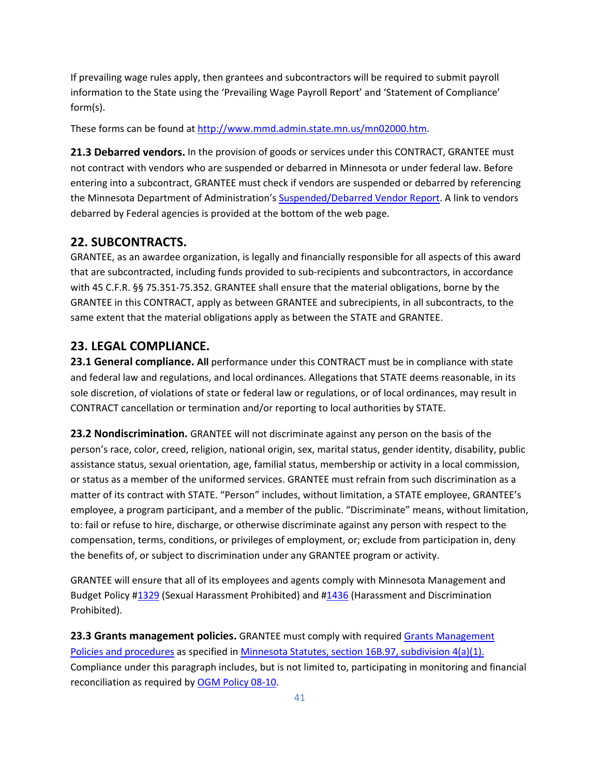If prevailing wage rules apply, then grantees and subcontractors will be required to submit payroll information to the State using the 'Prevailing Wage Payroll Report' and 'Statement of Compliance' form(s).

These forms can be found at [http://www.mmd.admin.state.mn.us/mn02000.htm.](http://www.mmd.admin.state.mn.us/mn02000.htm)

**21.3 Debarred vendors.** In the provision of goods or services under this CONTRACT, GRANTEE must not contract with vendors who are suspended or debarred in Minnesota or under federal law. Before entering into a subcontract, GRANTEE must check if vendors are suspended or debarred by referencing the Minnesota Department of Administration's [Suspended/Debarred Vendor Report.](http://www.mmd.admin.state.mn.us/debarredreport.asp) A link to vendors debarred by Federal agencies is provided at the bottom of the web page.

### **22. SUBCONTRACTS.**

GRANTEE, as an awardee organization, is legally and financially responsible for all aspects of this award that are subcontracted, including funds provided to sub-recipients and subcontractors, in accordance with 45 C.F.R. §§ 75.351-75.352. GRANTEE shall ensure that the material obligations, borne by the GRANTEE in this CONTRACT, apply as between GRANTEE and subrecipients, in all subcontracts, to the same extent that the material obligations apply as between the STATE and GRANTEE.

### **23. LEGAL COMPLIANCE.**

**23.1 General compliance. All** performance under this CONTRACT must be in compliance with state and federal law and regulations, and local ordinances. Allegations that STATE deems reasonable, in its sole discretion, of violations of state or federal law or regulations, or of local ordinances, may result in CONTRACT cancellation or termination and/or reporting to local authorities by STATE.

**23.2 Nondiscrimination.** GRANTEE will not discriminate against any person on the basis of the person's race, color, creed, religion, national origin, sex, marital status, gender identity, disability, public assistance status, sexual orientation, age, familial status, membership or activity in a local commission, or status as a member of the uniformed services. GRANTEE must refrain from such discrimination as a matter of its contract with STATE. "Person" includes, without limitation, a STATE employee, GRANTEE's employee, a program participant, and a member of the public. "Discriminate" means, without limitation, to: fail or refuse to hire, discharge, or otherwise discriminate against any person with respect to the compensation, terms, conditions, or privileges of employment, or; exclude from participation in, deny the benefits of, or subject to discrimination under any GRANTEE program or activity.

GRANTEE will ensure that all of its employees and agents comply with Minnesota Management and Budget Policy [#1329](https://mn.gov/mmb-stat/policies/1329-sexualharassment-prohibited.pdf) (Sexual Harassment Prohibited) and [#1436](https://mn.gov/mmb-stat/policies/1436-harassmentdiscriminationprohibited.pdf) (Harassment and Discrimination Prohibited).

**23.3 Grants management policies.** GRANTEE must comply with require[d Grants Management](https://mn.gov/admin/government/grants/policies-statutes-forms/)  [Policies and procedures](https://mn.gov/admin/government/grants/policies-statutes-forms/) as specified in [Minnesota Statutes, section 16B.97, subdivision](https://www.revisor.mn.gov/statutes/cite/16B.97) 4(a)(1). Compliance under this paragraph includes, but is not limited to, participating in monitoring and financial reconciliation as required b[y OGM Policy 08-10.](https://mn.gov/admin/assets/grants_policy_08-10.pdf_tcm36-207117.pdf)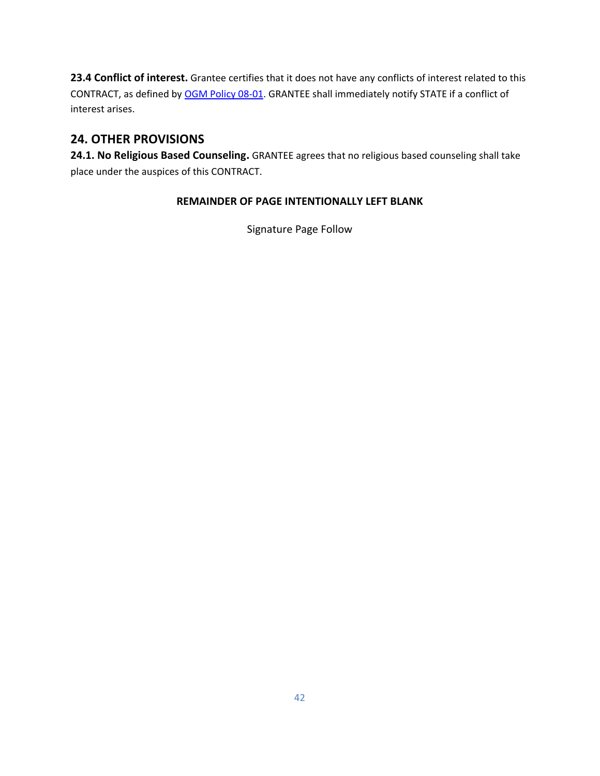**23.4 Conflict of interest.** Grantee certifies that it does not have any conflicts of interest related to this CONTRACT, as defined by [OGM Policy 08-01.](https://mn.gov/admin/assets/grants_policy_08-01_tcm36-207108.pdf) GRANTEE shall immediately notify STATE if a conflict of interest arises.

# **24. OTHER PROVISIONS**

**24.1. No Religious Based Counseling.** GRANTEE agrees that no religious based counseling shall take place under the auspices of this CONTRACT.

### **REMAINDER OF PAGE INTENTIONALLY LEFT BLANK**

Signature Page Follow